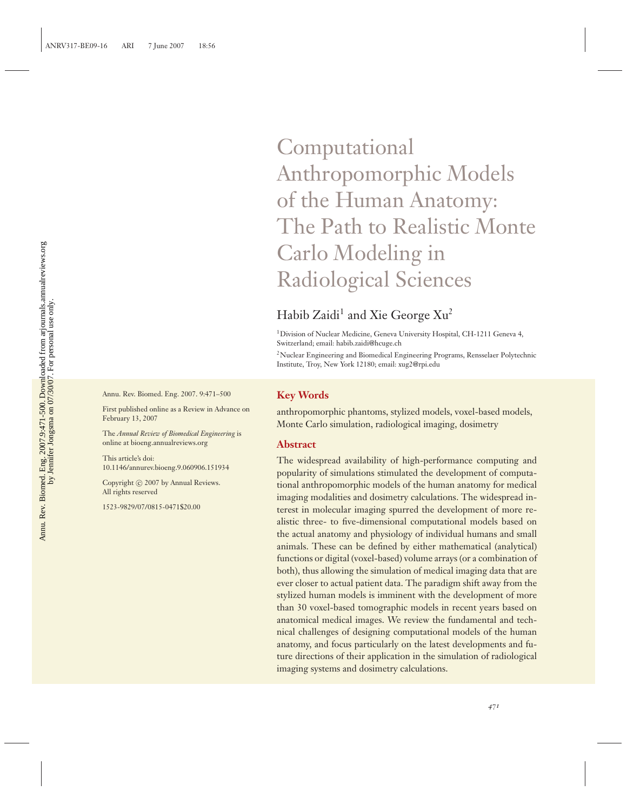Computational Anthropomorphic Models of the Human Anatomy: The Path to Realistic Monte Carlo Modeling in Radiological Sciences

# Habib Zaidi<sup>1</sup> and Xie George Xu<sup>2</sup>

<sup>1</sup> Division of Nuclear Medicine, Geneva University Hospital, CH-1211 Geneva 4, Switzerland; email: habib.zaidi@hcuge.ch

2Nuclear Engineering and Biomedical Engineering Programs, Rensselaer Polytechnic Institute, Troy, New York 12180; email: xug2@rpi.edu

Annu. Rev. Biomed. Eng. 2007. 9:471–500

First published online as a Review in Advance on February 13, 2007

The *Annual Review of Biomedical Engineering* is online at bioeng.annualreviews.org

This article's doi: 10.1146/annurev.bioeng.9.060906.151934

Copyright  $\odot$  2007 by Annual Reviews. All rights reserved

1523-9829/07/0815-0471\$20.00

#### **Key Words**

anthropomorphic phantoms, stylized models, voxel-based models, Monte Carlo simulation, radiological imaging, dosimetry

#### **Abstract**

The widespread availability of high-performance computing and popularity of simulations stimulated the development of computational anthropomorphic models of the human anatomy for medical imaging modalities and dosimetry calculations. The widespread interest in molecular imaging spurred the development of more realistic three- to five-dimensional computational models based on the actual anatomy and physiology of individual humans and small animals. These can be defined by either mathematical (analytical) functions or digital (voxel-based) volume arrays (or a combination of both), thus allowing the simulation of medical imaging data that are ever closer to actual patient data. The paradigm shift away from the stylized human models is imminent with the development of more than 30 voxel-based tomographic models in recent years based on anatomical medical images. We review the fundamental and technical challenges of designing computational models of the human anatomy, and focus particularly on the latest developments and future directions of their application in the simulation of radiological imaging systems and dosimetry calculations.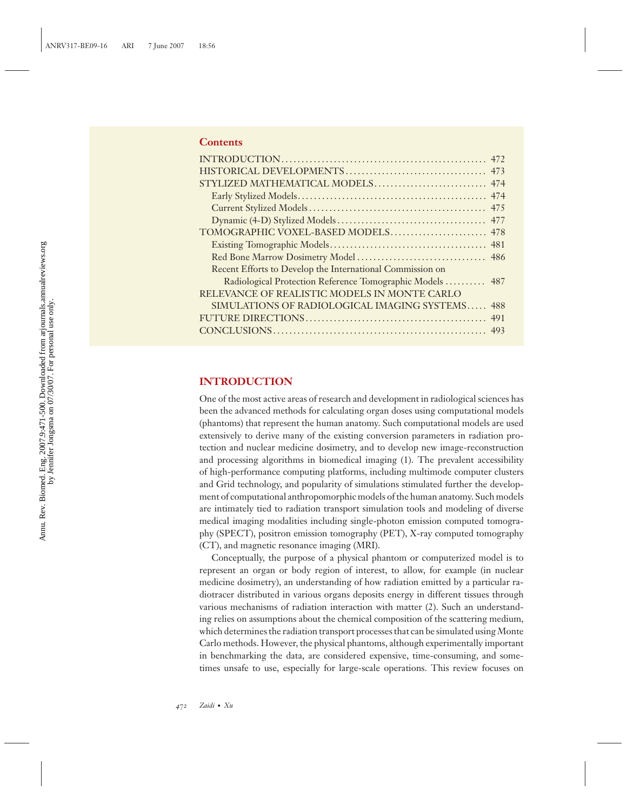#### **Contents**

|                                                           | 475 |
|-----------------------------------------------------------|-----|
|                                                           |     |
|                                                           |     |
|                                                           |     |
|                                                           |     |
| Recent Efforts to Develop the International Commission on |     |
| Radiological Protection Reference Tomographic Models  487 |     |
| RELEVANCE OF REALISTIC MODELS IN MONTE CARLO              |     |
| SIMULATIONS OF RADIOLOGICAL IMAGING SYSTEMS 488           |     |
|                                                           |     |
|                                                           |     |

# **INTRODUCTION**

One of the most active areas of research and development in radiological sciences has been the advanced methods for calculating organ doses using computational models (phantoms) that represent the human anatomy. Such computational models are used extensively to derive many of the existing conversion parameters in radiation protection and nuclear medicine dosimetry, and to develop new image-reconstruction and processing algorithms in biomedical imaging (1). The prevalent accessibility of high-performance computing platforms, including multimode computer clusters and Grid technology, and popularity of simulations stimulated further the development of computational anthropomorphic models of the human anatomy. Such models are intimately tied to radiation transport simulation tools and modeling of diverse medical imaging modalities including single-photon emission computed tomography (SPECT), positron emission tomography (PET), X-ray computed tomography (CT), and magnetic resonance imaging (MRI).

Conceptually, the purpose of a physical phantom or computerized model is to represent an organ or body region of interest, to allow, for example (in nuclear medicine dosimetry), an understanding of how radiation emitted by a particular radiotracer distributed in various organs deposits energy in different tissues through various mechanisms of radiation interaction with matter (2). Such an understanding relies on assumptions about the chemical composition of the scattering medium, which determines the radiation transport processes that can be simulated using Monte Carlo methods. However, the physical phantoms, although experimentally important in benchmarking the data, are considered expensive, time-consuming, and sometimes unsafe to use, especially for large-scale operations. This review focuses on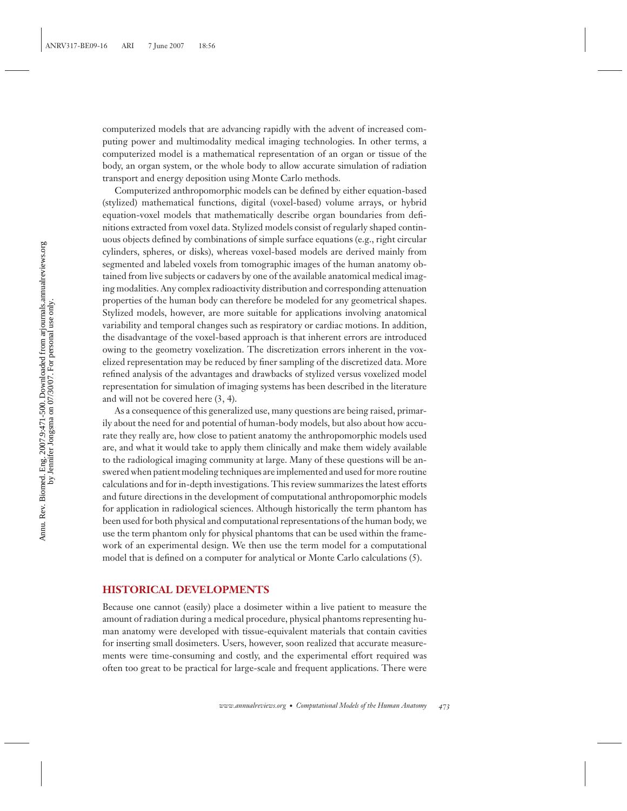computerized models that are advancing rapidly with the advent of increased computing power and multimodality medical imaging technologies. In other terms, a computerized model is a mathematical representation of an organ or tissue of the body, an organ system, or the whole body to allow accurate simulation of radiation transport and energy deposition using Monte Carlo methods.

Computerized anthropomorphic models can be defined by either equation-based (stylized) mathematical functions, digital (voxel-based) volume arrays, or hybrid equation-voxel models that mathematically describe organ boundaries from definitions extracted from voxel data. Stylized models consist of regularly shaped continuous objects defined by combinations of simple surface equations (e.g., right circular cylinders, spheres, or disks), whereas voxel-based models are derived mainly from segmented and labeled voxels from tomographic images of the human anatomy obtained from live subjects or cadavers by one of the available anatomical medical imaging modalities. Any complex radioactivity distribution and corresponding attenuation properties of the human body can therefore be modeled for any geometrical shapes. Stylized models, however, are more suitable for applications involving anatomical variability and temporal changes such as respiratory or cardiac motions. In addition, the disadvantage of the voxel-based approach is that inherent errors are introduced owing to the geometry voxelization. The discretization errors inherent in the voxelized representation may be reduced by finer sampling of the discretized data. More refined analysis of the advantages and drawbacks of stylized versus voxelized model representation for simulation of imaging systems has been described in the literature and will not be covered here (3, 4).

As a consequence of this generalized use, many questions are being raised, primarily about the need for and potential of human-body models, but also about how accurate they really are, how close to patient anatomy the anthropomorphic models used are, and what it would take to apply them clinically and make them widely available to the radiological imaging community at large. Many of these questions will be answered when patient modeling techniques are implemented and used for more routine calculations and for in-depth investigations. This review summarizes the latest efforts and future directions in the development of computational anthropomorphic models for application in radiological sciences. Although historically the term phantom has been used for both physical and computational representations of the human body, we use the term phantom only for physical phantoms that can be used within the framework of an experimental design. We then use the term model for a computational model that is defined on a computer for analytical or Monte Carlo calculations (5).

# **HISTORICAL DEVELOPMENTS**

Because one cannot (easily) place a dosimeter within a live patient to measure the amount of radiation during a medical procedure, physical phantoms representing human anatomy were developed with tissue-equivalent materials that contain cavities for inserting small dosimeters. Users, however, soon realized that accurate measurements were time-consuming and costly, and the experimental effort required was often too great to be practical for large-scale and frequent applications. There were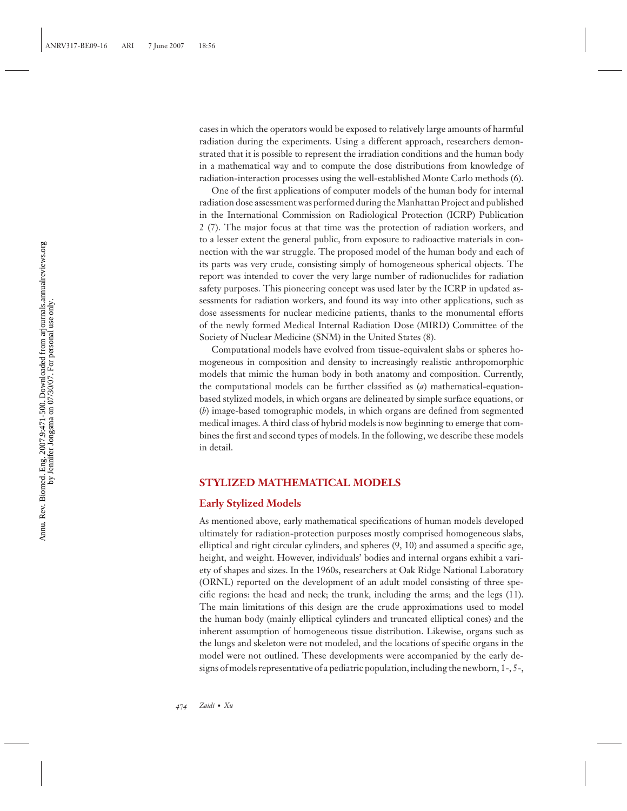cases in which the operators would be exposed to relatively large amounts of harmful radiation during the experiments. Using a different approach, researchers demonstrated that it is possible to represent the irradiation conditions and the human body in a mathematical way and to compute the dose distributions from knowledge of radiation-interaction processes using the well-established Monte Carlo methods (6).

One of the first applications of computer models of the human body for internal radiation dose assessment was performed during the Manhattan Project and published in the International Commission on Radiological Protection (ICRP) Publication 2 (7). The major focus at that time was the protection of radiation workers, and to a lesser extent the general public, from exposure to radioactive materials in connection with the war struggle. The proposed model of the human body and each of its parts was very crude, consisting simply of homogeneous spherical objects. The report was intended to cover the very large number of radionuclides for radiation safety purposes. This pioneering concept was used later by the ICRP in updated assessments for radiation workers, and found its way into other applications, such as dose assessments for nuclear medicine patients, thanks to the monumental efforts of the newly formed Medical Internal Radiation Dose (MIRD) Committee of the Society of Nuclear Medicine (SNM) in the United States (8).

Computational models have evolved from tissue-equivalent slabs or spheres homogeneous in composition and density to increasingly realistic anthropomorphic models that mimic the human body in both anatomy and composition. Currently, the computational models can be further classified as (*a*) mathematical-equationbased stylized models, in which organs are delineated by simple surface equations, or (*b*) image-based tomographic models, in which organs are defined from segmented medical images. A third class of hybrid models is now beginning to emerge that combines the first and second types of models. In the following, we describe these models in detail.

### **STYLIZED MATHEMATICAL MODELS**

# **Early Stylized Models**

As mentioned above, early mathematical specifications of human models developed ultimately for radiation-protection purposes mostly comprised homogeneous slabs, elliptical and right circular cylinders, and spheres (9, 10) and assumed a specific age, height, and weight. However, individuals' bodies and internal organs exhibit a variety of shapes and sizes. In the 1960s, researchers at Oak Ridge National Laboratory (ORNL) reported on the development of an adult model consisting of three specific regions: the head and neck; the trunk, including the arms; and the legs (11). The main limitations of this design are the crude approximations used to model the human body (mainly elliptical cylinders and truncated elliptical cones) and the inherent assumption of homogeneous tissue distribution. Likewise, organs such as the lungs and skeleton were not modeled, and the locations of specific organs in the model were not outlined. These developments were accompanied by the early designs of models representative of a pediatric population, including the newborn, 1-, 5-,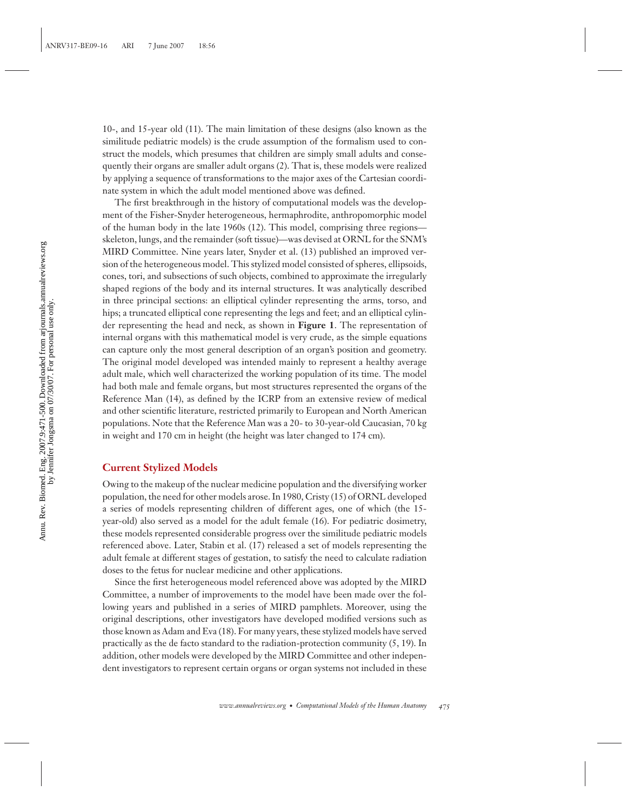10-, and 15-year old (11). The main limitation of these designs (also known as the similitude pediatric models) is the crude assumption of the formalism used to construct the models, which presumes that children are simply small adults and consequently their organs are smaller adult organs (2). That is, these models were realized by applying a sequence of transformations to the major axes of the Cartesian coordinate system in which the adult model mentioned above was defined.

The first breakthrough in the history of computational models was the development of the Fisher-Snyder heterogeneous, hermaphrodite, anthropomorphic model of the human body in the late 1960s (12). This model, comprising three regions skeleton, lungs, and the remainder (soft tissue)—was devised at ORNL for the SNM's MIRD Committee. Nine years later, Snyder et al. (13) published an improved version of the heterogeneous model. This stylized model consisted of spheres, ellipsoids, cones, tori, and subsections of such objects, combined to approximate the irregularly shaped regions of the body and its internal structures. It was analytically described in three principal sections: an elliptical cylinder representing the arms, torso, and hips; a truncated elliptical cone representing the legs and feet; and an elliptical cylinder representing the head and neck, as shown in **Figure 1**. The representation of internal organs with this mathematical model is very crude, as the simple equations can capture only the most general description of an organ's position and geometry. The original model developed was intended mainly to represent a healthy average adult male, which well characterized the working population of its time. The model had both male and female organs, but most structures represented the organs of the Reference Man (14), as defined by the ICRP from an extensive review of medical and other scientific literature, restricted primarily to European and North American populations. Note that the Reference Man was a 20- to 30-year-old Caucasian, 70 kg in weight and 170 cm in height (the height was later changed to 174 cm).

#### **Current Stylized Models**

Owing to the makeup of the nuclear medicine population and the diversifying worker population, the need for other models arose. In 1980, Cristy (15) of ORNL developed a series of models representing children of different ages, one of which (the 15 year-old) also served as a model for the adult female (16). For pediatric dosimetry, these models represented considerable progress over the similitude pediatric models referenced above. Later, Stabin et al. (17) released a set of models representing the adult female at different stages of gestation, to satisfy the need to calculate radiation doses to the fetus for nuclear medicine and other applications.

Since the first heterogeneous model referenced above was adopted by the MIRD Committee, a number of improvements to the model have been made over the following years and published in a series of MIRD pamphlets. Moreover, using the original descriptions, other investigators have developed modified versions such as those known as Adam and Eva (18). For many years, these stylized models have served practically as the de facto standard to the radiation-protection community (5, 19). In addition, other models were developed by the MIRD Committee and other independent investigators to represent certain organs or organ systems not included in these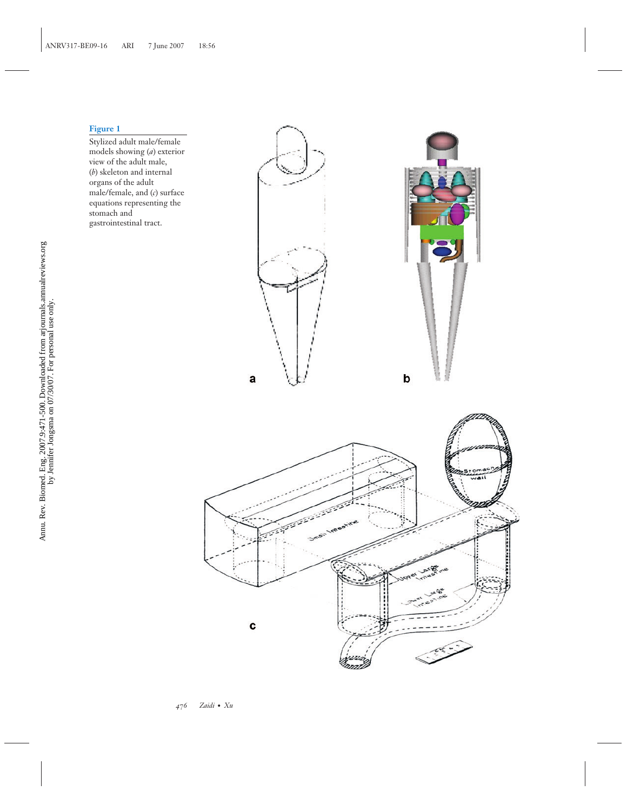# **Figure 1**

Stylized adult male/female models showing (*a*) exterior view of the adult male, (*b*) skeleton and internal organs of the adult male/female, and (*c*) surface equations representing the stomach and gastrointestinal tract.

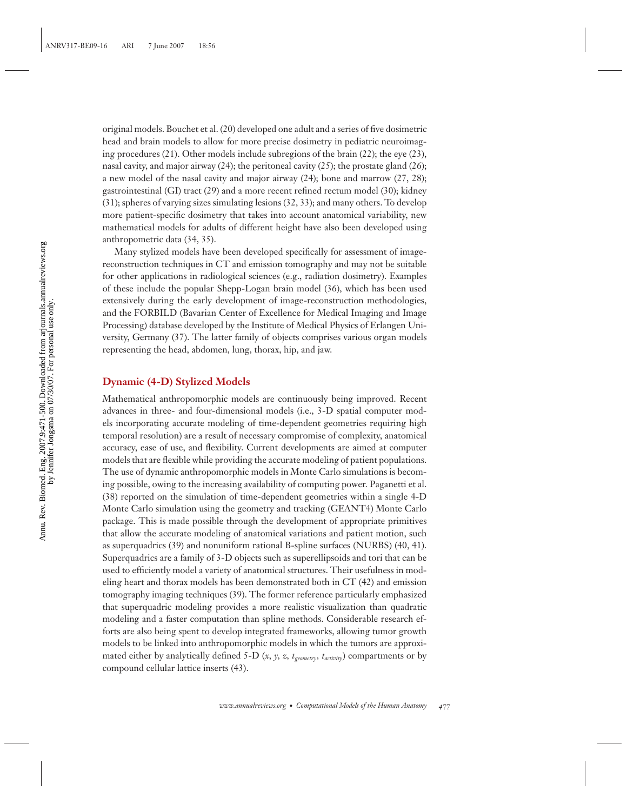original models. Bouchet et al. (20) developed one adult and a series of five dosimetric head and brain models to allow for more precise dosimetry in pediatric neuroimaging procedures (21). Other models include subregions of the brain (22); the eye (23), nasal cavity, and major airway  $(24)$ ; the peritoneal cavity  $(25)$ ; the prostate gland  $(26)$ ; a new model of the nasal cavity and major airway (24); bone and marrow (27, 28); gastrointestinal (GI) tract (29) and a more recent refined rectum model (30); kidney (31); spheres of varying sizes simulating lesions (32, 33); and many others. To develop more patient-specific dosimetry that takes into account anatomical variability, new mathematical models for adults of different height have also been developed using anthropometric data (34, 35).

Many stylized models have been developed specifically for assessment of imagereconstruction techniques in CT and emission tomography and may not be suitable for other applications in radiological sciences (e.g., radiation dosimetry). Examples of these include the popular Shepp-Logan brain model (36), which has been used extensively during the early development of image-reconstruction methodologies, and the FORBILD (Bavarian Center of Excellence for Medical Imaging and Image Processing) database developed by the Institute of Medical Physics of Erlangen University, Germany (37). The latter family of objects comprises various organ models representing the head, abdomen, lung, thorax, hip, and jaw.

#### **Dynamic (4-D) Stylized Models**

Mathematical anthropomorphic models are continuously being improved. Recent advances in three- and four-dimensional models (i.e., 3-D spatial computer models incorporating accurate modeling of time-dependent geometries requiring high temporal resolution) are a result of necessary compromise of complexity, anatomical accuracy, ease of use, and flexibility. Current developments are aimed at computer models that are flexible while providing the accurate modeling of patient populations. The use of dynamic anthropomorphic models in Monte Carlo simulations is becoming possible, owing to the increasing availability of computing power. Paganetti et al. (38) reported on the simulation of time-dependent geometries within a single 4-D Monte Carlo simulation using the geometry and tracking (GEANT4) Monte Carlo package. This is made possible through the development of appropriate primitives that allow the accurate modeling of anatomical variations and patient motion, such as superquadrics (39) and nonuniform rational B-spline surfaces (NURBS) (40, 41). Superquadrics are a family of 3-D objects such as superellipsoids and tori that can be used to efficiently model a variety of anatomical structures. Their usefulness in modeling heart and thorax models has been demonstrated both in CT (42) and emission tomography imaging techniques (39). The former reference particularly emphasized that superquadric modeling provides a more realistic visualization than quadratic modeling and a faster computation than spline methods. Considerable research efforts are also being spent to develop integrated frameworks, allowing tumor growth models to be linked into anthropomorphic models in which the tumors are approximated either by analytically defined 5-D (*x, y, z, tgeometry, tactivity*) compartments or by compound cellular lattice inserts (43).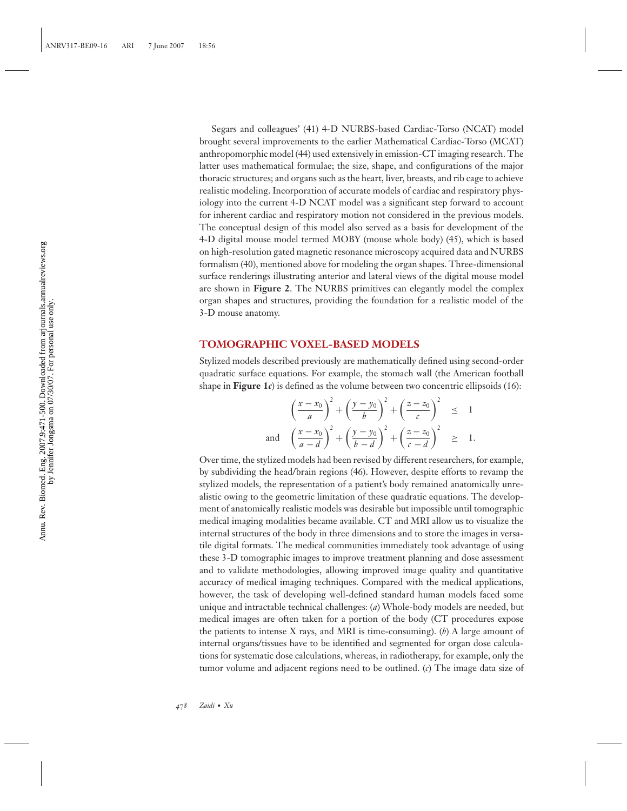Segars and colleagues' (41) 4-D NURBS-based Cardiac-Torso (NCAT) model brought several improvements to the earlier Mathematical Cardiac-Torso (MCAT) anthropomorphic model (44) used extensively in emission-CT imaging research. The latter uses mathematical formulae; the size, shape, and configurations of the major thoracic structures; and organs such as the heart, liver, breasts, and rib cage to achieve realistic modeling. Incorporation of accurate models of cardiac and respiratory physiology into the current 4-D NCAT model was a significant step forward to account for inherent cardiac and respiratory motion not considered in the previous models. The conceptual design of this model also served as a basis for development of the 4-D digital mouse model termed MOBY (mouse whole body) (45), which is based on high-resolution gated magnetic resonance microscopy acquired data and NURBS formalism (40), mentioned above for modeling the organ shapes. Three-dimensional surface renderings illustrating anterior and lateral views of the digital mouse model are shown in **Figure 2**. The NURBS primitives can elegantly model the complex organ shapes and structures, providing the foundation for a realistic model of the 3-D mouse anatomy.

### **TOMOGRAPHIC VOXEL-BASED MODELS**

Stylized models described previously are mathematically defined using second-order quadratic surface equations. For example, the stomach wall (the American football shape in **Figure 1***c*) is defined as the volume between two concentric ellipsoids (16):

$$
\left(\frac{x-x_0}{a}\right)^2 + \left(\frac{y-y_0}{b}\right)^2 + \left(\frac{z-z_0}{c}\right)^2 \le 1
$$
  
and 
$$
\left(\frac{x-x_0}{a-d}\right)^2 + \left(\frac{y-y_0}{b-d}\right)^2 + \left(\frac{z-z_0}{c-d}\right)^2 \ge 1.
$$

Over time, the stylized models had been revised by different researchers, for example, by subdividing the head/brain regions (46). However, despite efforts to revamp the stylized models, the representation of a patient's body remained anatomically unrealistic owing to the geometric limitation of these quadratic equations. The development of anatomically realistic models was desirable but impossible until tomographic medical imaging modalities became available. CT and MRI allow us to visualize the internal structures of the body in three dimensions and to store the images in versatile digital formats. The medical communities immediately took advantage of using these 3-D tomographic images to improve treatment planning and dose assessment and to validate methodologies, allowing improved image quality and quantitative accuracy of medical imaging techniques. Compared with the medical applications, however, the task of developing well-defined standard human models faced some unique and intractable technical challenges: (*a*) Whole-body models are needed, but medical images are often taken for a portion of the body (CT procedures expose the patients to intense X rays, and MRI is time-consuming). (*b*) A large amount of internal organs/tissues have to be identified and segmented for organ dose calculations for systematic dose calculations, whereas, in radiotherapy, for example, only the tumor volume and adjacent regions need to be outlined. (*c*) The image data size of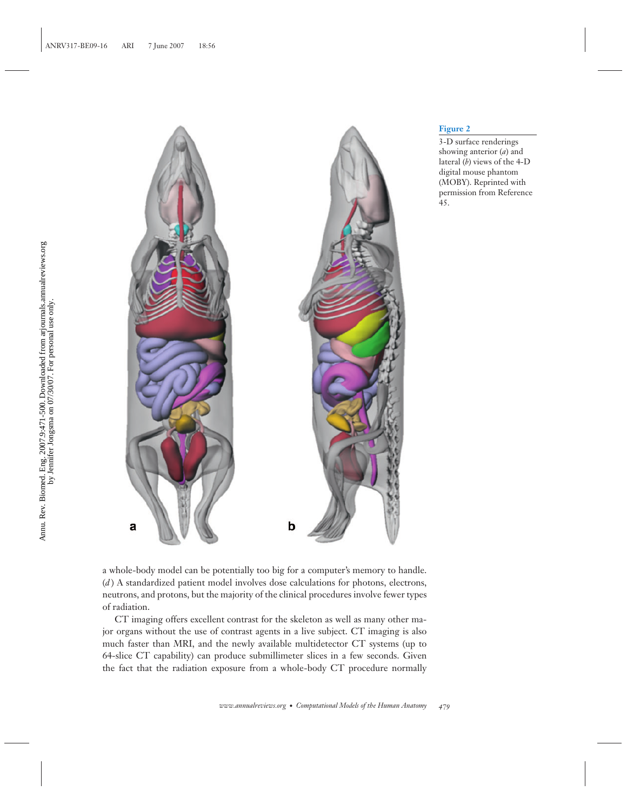

# **Figure 2**

3-D surface renderings showing anterior (*a*) and lateral (*b*) views of the 4-D digital mouse phantom (MOBY). Reprinted with permission from Reference 45.

a whole-body model can be potentially too big for a computer's memory to handle. (*d* ) A standardized patient model involves dose calculations for photons, electrons, neutrons, and protons, but the majority of the clinical procedures involve fewer types of radiation.

CT imaging offers excellent contrast for the skeleton as well as many other major organs without the use of contrast agents in a live subject. CT imaging is also much faster than MRI, and the newly available multidetector CT systems (up to 64-slice CT capability) can produce submillimeter slices in a few seconds. Given the fact that the radiation exposure from a whole-body CT procedure normally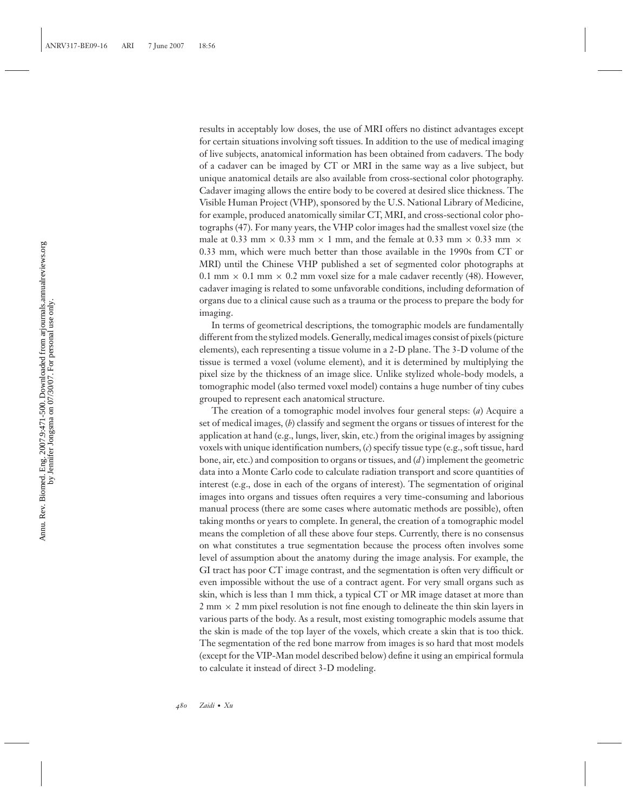results in acceptably low doses, the use of MRI offers no distinct advantages except for certain situations involving soft tissues. In addition to the use of medical imaging of live subjects, anatomical information has been obtained from cadavers. The body of a cadaver can be imaged by CT or MRI in the same way as a live subject, but unique anatomical details are also available from cross-sectional color photography. Cadaver imaging allows the entire body to be covered at desired slice thickness. The Visible Human Project (VHP), sponsored by the U.S. National Library of Medicine, for example, produced anatomically similar CT, MRI, and cross-sectional color photographs (47). For many years, the VHP color images had the smallest voxel size (the male at 0.33 mm  $\times$  0.33 mm  $\times$  1 mm, and the female at 0.33 mm  $\times$  0.33 mm  $\times$ 0.33 mm, which were much better than those available in the 1990s from CT or MRI) until the Chinese VHP published a set of segmented color photographs at 0.1 mm  $\times$  0.1 mm  $\times$  0.2 mm voxel size for a male cadaver recently (48). However, cadaver imaging is related to some unfavorable conditions, including deformation of organs due to a clinical cause such as a trauma or the process to prepare the body for imaging.

In terms of geometrical descriptions, the tomographic models are fundamentally different from the stylized models. Generally, medical images consist of pixels (picture elements), each representing a tissue volume in a 2-D plane. The 3-D volume of the tissue is termed a voxel (volume element), and it is determined by multiplying the pixel size by the thickness of an image slice. Unlike stylized whole-body models, a tomographic model (also termed voxel model) contains a huge number of tiny cubes grouped to represent each anatomical structure.

The creation of a tomographic model involves four general steps: (*a*) Acquire a set of medical images, (*b*) classify and segment the organs or tissues of interest for the application at hand (e.g., lungs, liver, skin, etc.) from the original images by assigning voxels with unique identification numbers, (*c*) specify tissue type (e.g., soft tissue, hard bone, air, etc.) and composition to organs or tissues, and (*d* ) implement the geometric data into a Monte Carlo code to calculate radiation transport and score quantities of interest (e.g., dose in each of the organs of interest). The segmentation of original images into organs and tissues often requires a very time-consuming and laborious manual process (there are some cases where automatic methods are possible), often taking months or years to complete. In general, the creation of a tomographic model means the completion of all these above four steps. Currently, there is no consensus on what constitutes a true segmentation because the process often involves some level of assumption about the anatomy during the image analysis. For example, the GI tract has poor CT image contrast, and the segmentation is often very difficult or even impossible without the use of a contract agent. For very small organs such as skin, which is less than 1 mm thick, a typical CT or MR image dataset at more than  $2 \text{ mm} \times 2 \text{ mm}$  pixel resolution is not fine enough to delineate the thin skin layers in various parts of the body. As a result, most existing tomographic models assume that the skin is made of the top layer of the voxels, which create a skin that is too thick. The segmentation of the red bone marrow from images is so hard that most models (except for the VIP-Man model described below) define it using an empirical formula to calculate it instead of direct 3-D modeling.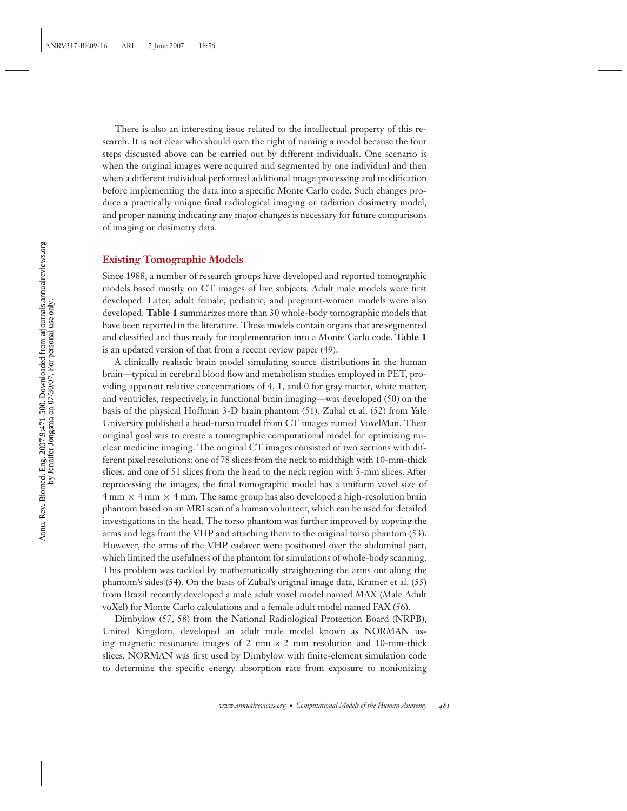There is also an interesting issue related to the intellectual property of this research. It is not clear who should own the right of naming a model because the four steps discussed above can be carried out by different individuals. One scenario is when the original images were acquired and segmented by one individual and then when a different individual performed additional image processing and modification before implementing the data into a specific Monte Carlo code. Such changes produce a practically unique final radiological imaging or radiation dosimetry model, and proper naming indicating any major changes is necessary for future comparisons of imaging or dosimetry data.

#### **Existing Tomographic Models**

Since 1988, a number of research groups have developed and reported tomographic models based mostly on CT images of live subjects. Adult male models were first developed. Later, adult female, pediatric, and pregnant-women models were also developed. **Table 1** summarizes more than 30 whole-body tomographic models that have been reported in the literature. These models contain organs that are segmented and classified and thus ready for implementation into a Monte Carlo code. **Table 1** is an updated version of that from a recent review paper (49).

A clinically realistic brain model simulating source distributions in the human brain—typical in cerebral blood flow and metabolism studies employed in PET, providing apparent relative concentrations of 4, 1, and 0 for gray matter, white matter, and ventricles, respectively, in functional brain imaging—was developed (50) on the basis of the physical Hoffman 3-D brain phantom (51). Zubal et al. (52) from Yale University published a head-torso model from CT images named VoxelMan. Their original goal was to create a tomographic computational model for optimizing nuclear medicine imaging. The original CT images consisted of two sections with different pixel resolutions: one of 78 slices from the neck to midthigh with 10-mm-thick slices, and one of 51 slices from the head to the neck region with 5-mm slices. After reprocessing the images, the final tomographic model has a uniform voxel size of  $4 \text{ mm} \times 4 \text{ mm} \times 4 \text{ mm}$ . The same group has also developed a high-resolution brain phantom based on an MRI scan of a human volunteer, which can be used for detailed investigations in the head. The torso phantom was further improved by copying the arms and legs from the VHP and attaching them to the original torso phantom (53). However, the arms of the VHP cadaver were positioned over the abdominal part, which limited the usefulness of the phantom for simulations of whole-body scanning. This problem was tackled by mathematically straightening the arms out along the phantom's sides (54). On the basis of Zubal's original image data, Kramer et al. (55) from Brazil recently developed a male adult voxel model named MAX (Male Adult voXel) for Monte Carlo calculations and a female adult model named FAX (56).

Dimbylow (57, 58) from the National Radiological Protection Board (NRPB), United Kingdom, developed an adult male model known as NORMAN using magnetic resonance images of 2 mm  $\times$  2 mm resolution and 10-mm-thick slices. NORMAN was first used by Dimbylow with finite-element simulation code to determine the specific energy absorption rate from exposure to nonionizing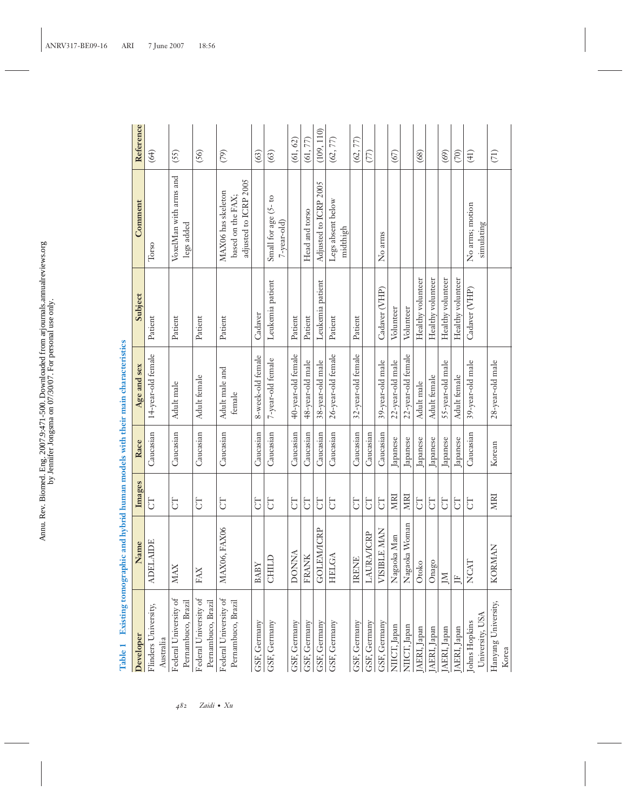| Table 1                                     |                   |                     |           | Existing tomographic and hybrid human models with their main characteristics |                   |                                                                  |            |
|---------------------------------------------|-------------------|---------------------|-----------|------------------------------------------------------------------------------|-------------------|------------------------------------------------------------------|------------|
| Developer                                   | Name              | Images              | Race      | Age and sex                                                                  | Subject           | Comment                                                          | Reference  |
| Flinders University,<br>Australia           | <b>ADELAIDE</b>   | $\overleftarrow{C}$ | Caucasian | 14-year-old female                                                           | Patient           | Torso                                                            | (64)       |
| Federal University of<br>Pernambuco, Brazil | <b>NAX</b>        | $\overline{C}$      | Caucasian | Adult male                                                                   | Patient           | VoxelMan with arms and<br>legs added                             | (55)       |
| Federal University of<br>Pernambuco, Brazil | <b>FAX</b>        | FO                  | Caucasian | Adult female                                                                 | Patient           |                                                                  | (56)       |
| Federal University of<br>Pernambuco, Brazil | MAX06, FAX06      | 5                   | Caucasian | Adult male and<br>female                                                     | Patient           | adjusted to ICRP 2005<br>MAX06 has skeleton<br>based on the FAX; | (79)       |
| GSF, Germany                                | BABY              | 5                   | Caucasian | 8-week-old female                                                            | Cadaver           |                                                                  | (63)       |
| GSF, Germany                                | <b>CHILD</b>      | 5                   | Caucasian | 7-year-old female                                                            | Leukemia patient  | Small for age (5-to<br>7-year-old)                               | (63)       |
| GSF, Germany                                | <b>DONNA</b>      | FO                  | Caucasian | 40-year-old female                                                           | Patient           |                                                                  | (61, 62)   |
| GSF, Germany                                | <b>FRANK</b>      | 5                   | Caucasian | 48-year-old male                                                             | Patient           | Head and torso                                                   | (61, 77)   |
| GSF, Germany                                | <b>GOLEMATCRP</b> | 5                   | Caucasian | 38-year-old male                                                             | Leukemia patient  | Adjusted to ICRP 2005                                            | (109, 110) |
| GSF, Germany                                | <b>HELGA</b>      | $\overline{C}$      | Caucasian | 26-year-old female                                                           | Patient           | Legs absent below<br>midthigh                                    | (62, 77)   |
| GSF, Germany                                | <b>RENE</b>       | 5D                  | Caucasian | 32-year-old female                                                           | Patient           |                                                                  | (62, 77)   |
| GSF, Germany                                | <b>AURA/ICRP</b>  | $\overline{C}$      | Caucasian |                                                                              |                   |                                                                  | (77)       |
| GSF, Germany                                | <b>TSIBLE MAN</b> | 5                   | Caucasian | 39-year-old male                                                             | Cadaver (VHP)     | No arms                                                          |            |
| NIICT, Japan                                | Nagaoka Man       | <b>NIN</b>          | Japanese  | 22-year-old male                                                             | Volunteer         |                                                                  | (67)       |
| NIICT, Japan                                | Nagaoka Woman     | MRI                 | Japanese  | 22-year-old female                                                           | Volunteer         |                                                                  |            |
| [AERI, Japan                                | Otoko             | $\overline{C}$      | Japanese  | Adult male                                                                   | Healthy volunteer |                                                                  | (68)       |
| JAERI, Japan                                | Onago             | $\overline{C}$      | Japanese  | Adult female                                                                 | Healthy volunteer |                                                                  |            |
| JAERI, Japan                                | $\geq$            | $\overline{C}$      | Japanese  | 55-year-old male                                                             | Healthy volunteer |                                                                  | (69)       |
| [AERI, Japan                                | $\mathbf{L}$      | 5                   | Japanese  | Adult female                                                                 | Healthy volunteer |                                                                  | (70)       |
| University, USA<br>Johns Hopkins            | NCAT              | F                   | Caucasian | 39-year-old male                                                             | Cadaver (VHP)     | No arms; motion<br>simulating                                    | (41)       |
| Hanyang University,<br>Korea                | KORMAN            | MRI                 | Korean    | 28-year-old male                                                             |                   |                                                                  | (71)       |

|        | heir main characteri         |
|--------|------------------------------|
|        |                              |
|        |                              |
|        |                              |
|        | id human modele with tl      |
|        |                              |
|        |                              |
|        |                              |
|        |                              |
|        |                              |
|        |                              |
|        |                              |
|        | ting tomoorganhic and hybrid |
| ;<br>F | usuuz u                      |
| ;<br>  | Table,                       |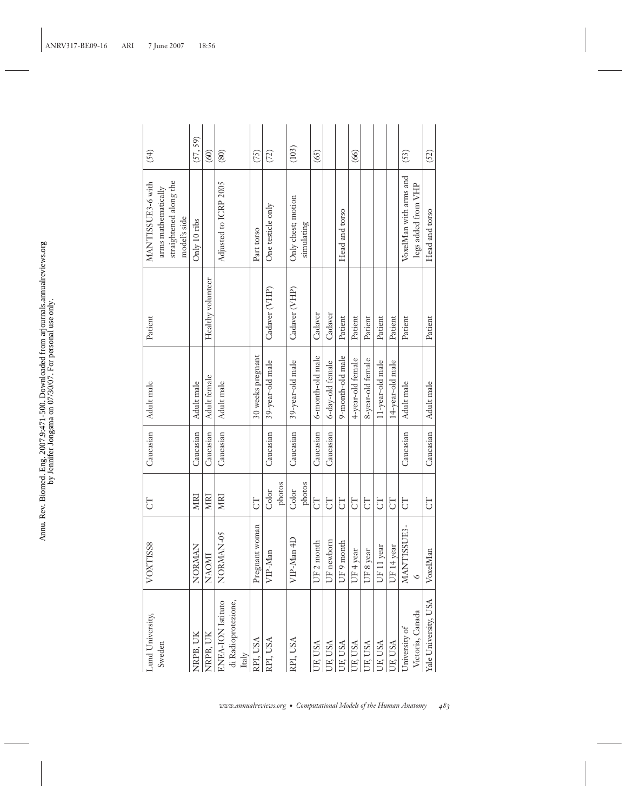| Lund University,<br>Sweden                        | VOXTISS8                              | J                          | Caucasian | Adult male        | Patient           | straightened along the<br>MANTISSUE <sub>3-6</sub> with<br>arms mathematically<br>model's side | (54)               |
|---------------------------------------------------|---------------------------------------|----------------------------|-----------|-------------------|-------------------|------------------------------------------------------------------------------------------------|--------------------|
| NRPB, UK                                          | NORMAN                                | <b>MRI</b>                 | Caucasian | Adult male        |                   | Only 10 ribs                                                                                   | (57, 59)           |
| NRPB, UK                                          | <b>NAOMI</b>                          | MRI                        | Caucasian | Adult female      | Healthy volunteer |                                                                                                | (60)               |
| di Radioprotezione,<br>ENEA-ION Istituto<br>Italy | NORMAN-05                             | MRI                        | Caucasian | Adult male        |                   | Adjusted to ICRP 2005                                                                          | $\left( 80\right)$ |
| RPI, USA                                          | Pregnant woman                        | $\overleftarrow{C}$        |           | 30 weeks pregnant |                   | Part torso                                                                                     | (75)               |
| RPI, USA                                          | $\ensuremath{\mathsf{VP\text{-}Man}}$ | photos<br>Color            | Caucasian | 39-year-old male  | Cadaver (VHP)     | One testicle only                                                                              | $(72)$             |
| RPI, USA                                          | VIP-Man <sub>4</sub> D                | photos<br>Color            | Caucasian | 39-year-old male  | Cadaver (VHP)     | Only chest; motion<br>simulating                                                               | (103)              |
| <b>JE, USA</b>                                    | UF 2 month                            | $\overline{C}$             | Caucasian | 6-month-old male  | Cadaver           |                                                                                                | (65)               |
| UF, USA                                           | UF newborn                            | $\overleftarrow{\text{C}}$ | Caucasian | 6-day-old female  | Cadaver           |                                                                                                |                    |
| UE, USA                                           | UF 9 month                            | $\overleftarrow{C}$        |           | 9-month-old male  | Patient           | Head and torso                                                                                 |                    |
| UF, USA                                           | UF 4 year                             | $\overleftarrow{C}$        |           | 4-year-old female | Patient           |                                                                                                | (66)               |
| UF, USA                                           | UF 8 year                             | $\overleftarrow{C}$        |           | 8-year-old female | Patient           |                                                                                                |                    |
| UF, USA                                           | UF 11 year                            | $\overleftarrow{C}$        |           | 11-year-old male  | Patient           |                                                                                                |                    |
| UF, USA                                           | UF 14 year                            | $\overleftarrow{C}$        |           | 14-year-old male  | Patient           |                                                                                                |                    |
| Victoria, Canada<br>University of                 | MANTISSUE3-                           | 5 <sub>L</sub>             | Caucasian | Adult male        | Patient           | VoxelMan with arms and<br>legs added from VHP                                                  | (53)               |
| Yale University, USA                              | VoxelMan                              | $\overleftarrow{C}$        | Caucasian | Adult male        | Patient           | Head and torso                                                                                 | (52)               |

| www.annualreviews.org • Computational Models of the Human Anatomy |  |  |  |  |  |  |  |  | 483 |
|-------------------------------------------------------------------|--|--|--|--|--|--|--|--|-----|
|-------------------------------------------------------------------|--|--|--|--|--|--|--|--|-----|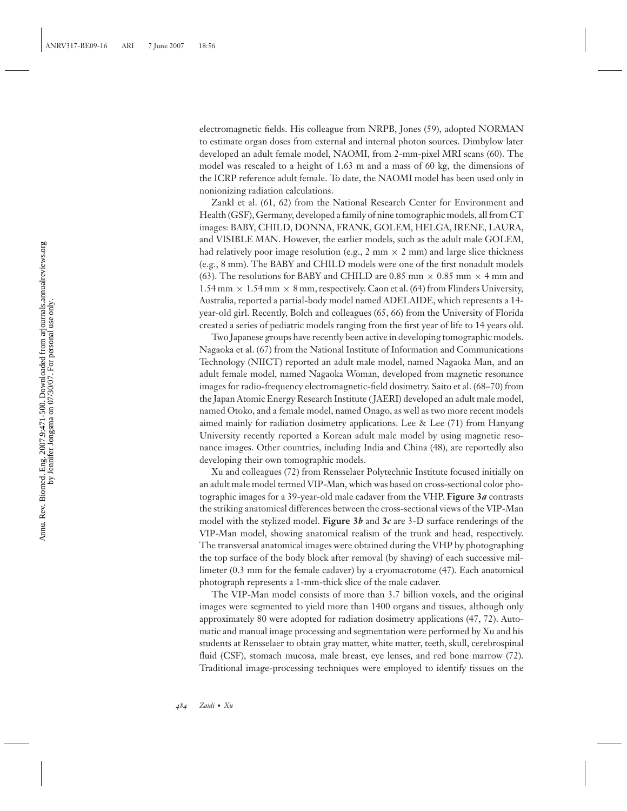electromagnetic fields. His colleague from NRPB, Jones (59), adopted NORMAN to estimate organ doses from external and internal photon sources. Dimbylow later developed an adult female model, NAOMI, from 2-mm-pixel MRI scans (60). The model was rescaled to a height of 1.63 m and a mass of 60 kg, the dimensions of the ICRP reference adult female. To date, the NAOMI model has been used only in nonionizing radiation calculations.

Zankl et al. (61, 62) from the National Research Center for Environment and Health (GSF), Germany, developed a family of nine tomographic models, all from CT images: BABY, CHILD, DONNA, FRANK, GOLEM, HELGA, IRENE, LAURA, and VISIBLE MAN. However, the earlier models, such as the adult male GOLEM, had relatively poor image resolution (e.g., 2 mm  $\times$  2 mm) and large slice thickness (e.g., 8 mm). The BABY and CHILD models were one of the first nonadult models (63). The resolutions for BABY and CHILD are 0.85 mm  $\times$  0.85 mm  $\times$  4 mm and 1.54 mm  $\times$  1.54 mm  $\times$  8 mm, respectively. Caon et al. (64) from Flinders University, Australia, reported a partial-body model named ADELAIDE, which represents a 14 year-old girl. Recently, Bolch and colleagues (65, 66) from the University of Florida created a series of pediatric models ranging from the first year of life to 14 years old.

Two Japanese groups have recently been active in developing tomographic models. Nagaoka et al. (67) from the National Institute of Information and Communications Technology (NIICT) reported an adult male model, named Nagaoka Man, and an adult female model, named Nagaoka Woman, developed from magnetic resonance images for radio-frequency electromagnetic-field dosimetry. Saito et al. (68–70) from the Japan Atomic Energy Research Institute ( JAERI) developed an adult male model, named Otoko, and a female model, named Onago, as well as two more recent models aimed mainly for radiation dosimetry applications. Lee & Lee (71) from Hanyang University recently reported a Korean adult male model by using magnetic resonance images. Other countries, including India and China (48), are reportedly also developing their own tomographic models.

Xu and colleagues (72) from Rensselaer Polytechnic Institute focused initially on an adult male model termed VIP-Man, which was based on cross-sectional color photographic images for a 39-year-old male cadaver from the VHP. **Figure 3***a* contrasts the striking anatomical differences between the cross-sectional views of the VIP-Man model with the stylized model. **Figure 3***b* and **3***c* are 3-D surface renderings of the VIP-Man model, showing anatomical realism of the trunk and head, respectively. The transversal anatomical images were obtained during the VHP by photographing the top surface of the body block after removal (by shaving) of each successive millimeter (0.3 mm for the female cadaver) by a cryomacrotome (47). Each anatomical photograph represents a 1-mm-thick slice of the male cadaver.

The VIP-Man model consists of more than 3.7 billion voxels, and the original images were segmented to yield more than 1400 organs and tissues, although only approximately 80 were adopted for radiation dosimetry applications (47, 72). Automatic and manual image processing and segmentation were performed by Xu and his students at Rensselaer to obtain gray matter, white matter, teeth, skull, cerebrospinal fluid (CSF), stomach mucosa, male breast, eye lenses, and red bone marrow (72). Traditional image-processing techniques were employed to identify tissues on the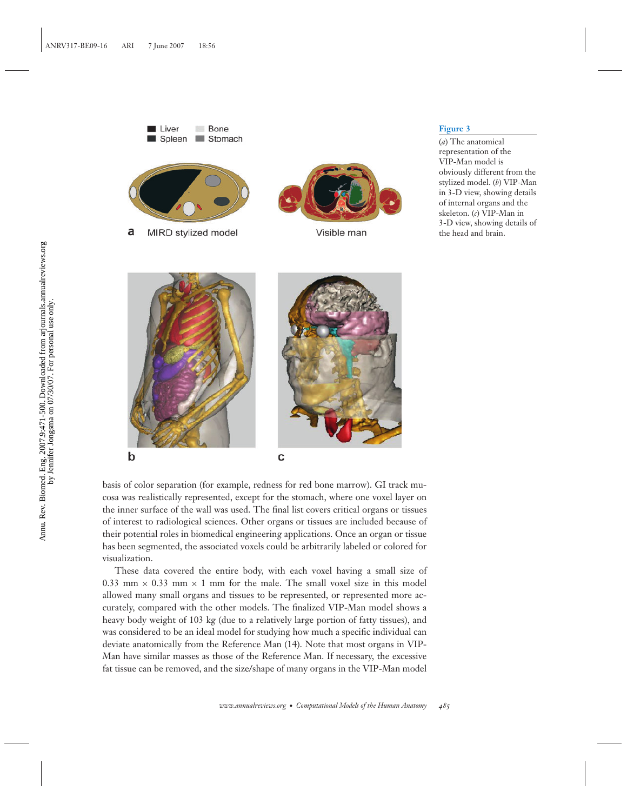

Bone

**Liver** 

MIRD stylized model a



Visible man

#### **Figure 3**

(*a*) The anatomical representation of the VIP-Man model is obviously different from the stylized model. (*b*) VIP-Man in 3-D view, showing details of internal organs and the skeleton. (*c*) VIP-Man in 3-D view, showing details of the head and brain.



basis of color separation (for example, redness for red bone marrow). GI track mucosa was realistically represented, except for the stomach, where one voxel layer on the inner surface of the wall was used. The final list covers critical organs or tissues of interest to radiological sciences. Other organs or tissues are included because of their potential roles in biomedical engineering applications. Once an organ or tissue has been segmented, the associated voxels could be arbitrarily labeled or colored for visualization.

These data covered the entire body, with each voxel having a small size of 0.33 mm  $\times$  0.33 mm  $\times$  1 mm for the male. The small voxel size in this model allowed many small organs and tissues to be represented, or represented more accurately, compared with the other models. The finalized VIP-Man model shows a heavy body weight of 103 kg (due to a relatively large portion of fatty tissues), and was considered to be an ideal model for studying how much a specific individual can deviate anatomically from the Reference Man (14). Note that most organs in VIP-Man have similar masses as those of the Reference Man. If necessary, the excessive fat tissue can be removed, and the size/shape of many organs in the VIP-Man model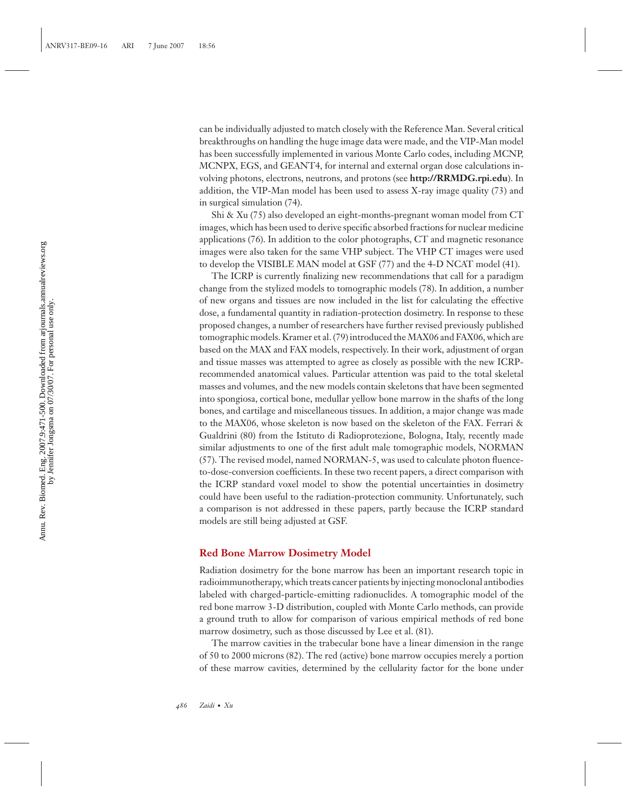can be individually adjusted to match closely with the Reference Man. Several critical breakthroughs on handling the huge image data were made, and the VIP-Man model has been successfully implemented in various Monte Carlo codes, including MCNP, MCNPX, EGS, and GEANT4, for internal and external organ dose calculations involving photons, electrons, neutrons, and protons (see **http://RRMDG.rpi.edu**). In addition, the VIP-Man model has been used to assess X-ray image quality (73) and in surgical simulation (74).

Shi & Xu (75) also developed an eight-months-pregnant woman model from CT images, which has been used to derive specific absorbed fractions for nuclear medicine applications (76). In addition to the color photographs, CT and magnetic resonance images were also taken for the same VHP subject. The VHP CT images were used to develop the VISIBLE MAN model at GSF (77) and the 4-D NCAT model (41).

The ICRP is currently finalizing new recommendations that call for a paradigm change from the stylized models to tomographic models (78). In addition, a number of new organs and tissues are now included in the list for calculating the effective dose, a fundamental quantity in radiation-protection dosimetry. In response to these proposed changes, a number of researchers have further revised previously published tomographic models. Kramer et al. (79) introduced the MAX06 and FAX06, which are based on the MAX and FAX models, respectively. In their work, adjustment of organ and tissue masses was attempted to agree as closely as possible with the new ICRPrecommended anatomical values. Particular attention was paid to the total skeletal masses and volumes, and the new models contain skeletons that have been segmented into spongiosa, cortical bone, medullar yellow bone marrow in the shafts of the long bones, and cartilage and miscellaneous tissues. In addition, a major change was made to the MAX06, whose skeleton is now based on the skeleton of the FAX. Ferrari & Gualdrini (80) from the Istituto di Radioprotezione, Bologna, Italy, recently made similar adjustments to one of the first adult male tomographic models, NORMAN (57). The revised model, named NORMAN-5, was used to calculate photon fluenceto-dose-conversion coefficients. In these two recent papers, a direct comparison with the ICRP standard voxel model to show the potential uncertainties in dosimetry could have been useful to the radiation-protection community. Unfortunately, such a comparison is not addressed in these papers, partly because the ICRP standard models are still being adjusted at GSF.

#### **Red Bone Marrow Dosimetry Model**

Radiation dosimetry for the bone marrow has been an important research topic in radioimmunotherapy, which treats cancer patients by injecting monoclonal antibodies labeled with charged-particle-emitting radionuclides. A tomographic model of the red bone marrow 3-D distribution, coupled with Monte Carlo methods, can provide a ground truth to allow for comparison of various empirical methods of red bone marrow dosimetry, such as those discussed by Lee et al.  $(81)$ .

The marrow cavities in the trabecular bone have a linear dimension in the range of 50 to 2000 microns (82). The red (active) bone marrow occupies merely a portion of these marrow cavities, determined by the cellularity factor for the bone under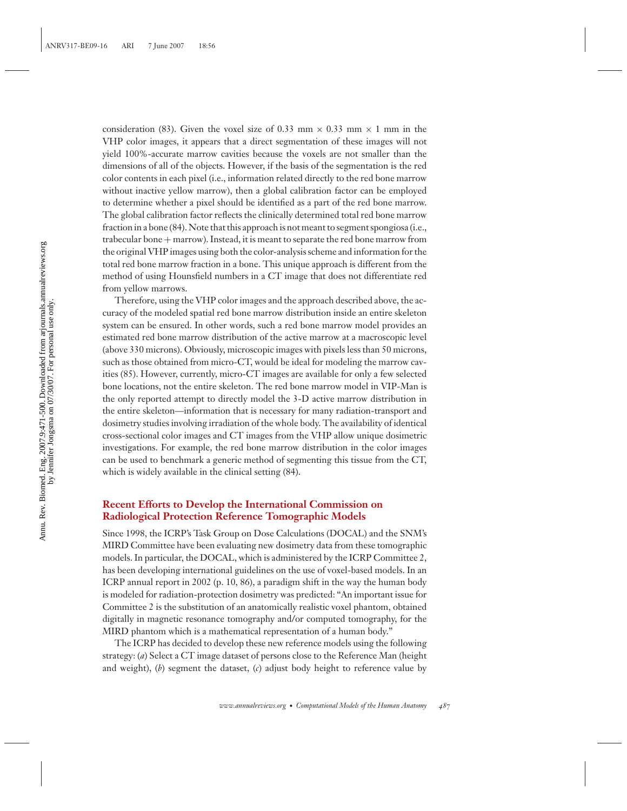consideration (83). Given the voxel size of 0.33 mm  $\times$  0.33 mm  $\times$  1 mm in the VHP color images, it appears that a direct segmentation of these images will not yield 100%-accurate marrow cavities because the voxels are not smaller than the dimensions of all of the objects. However, if the basis of the segmentation is the red color contents in each pixel (i.e., information related directly to the red bone marrow without inactive yellow marrow), then a global calibration factor can be employed to determine whether a pixel should be identified as a part of the red bone marrow. The global calibration factor reflects the clinically determined total red bone marrow fraction in a bone (84). Note that this approach is not meant to segment spongiosa (i.e., trabecular bone + marrow). Instead, it is meant to separate the red bone marrow from the original VHP images using both the color-analysis scheme and information for the total red bone marrow fraction in a bone. This unique approach is different from the method of using Hounsfield numbers in a CT image that does not differentiate red from yellow marrows.

Therefore, using the VHP color images and the approach described above, the accuracy of the modeled spatial red bone marrow distribution inside an entire skeleton system can be ensured. In other words, such a red bone marrow model provides an estimated red bone marrow distribution of the active marrow at a macroscopic level (above 330 microns). Obviously, microscopic images with pixels less than 50 microns, such as those obtained from micro-CT, would be ideal for modeling the marrow cavities (85). However, currently, micro-CT images are available for only a few selected bone locations, not the entire skeleton. The red bone marrow model in VIP-Man is the only reported attempt to directly model the 3-D active marrow distribution in the entire skeleton—information that is necessary for many radiation-transport and dosimetry studies involving irradiation of the whole body. The availability of identical cross-sectional color images and CT images from the VHP allow unique dosimetric investigations. For example, the red bone marrow distribution in the color images can be used to benchmark a generic method of segmenting this tissue from the CT, which is widely available in the clinical setting (84).

# **Recent Efforts to Develop the International Commission on Radiological Protection Reference Tomographic Models**

Since 1998, the ICRP's Task Group on Dose Calculations (DOCAL) and the SNM's MIRD Committee have been evaluating new dosimetry data from these tomographic models. In particular, the DOCAL, which is administered by the ICRP Committee 2, has been developing international guidelines on the use of voxel-based models. In an ICRP annual report in 2002 (p. 10, 86), a paradigm shift in the way the human body is modeled for radiation-protection dosimetry was predicted: "An important issue for Committee 2 is the substitution of an anatomically realistic voxel phantom, obtained digitally in magnetic resonance tomography and/or computed tomography, for the MIRD phantom which is a mathematical representation of a human body."

The ICRP has decided to develop these new reference models using the following strategy: (*a*) Select a CT image dataset of persons close to the Reference Man (height and weight), (*b*) segment the dataset, (*c*) adjust body height to reference value by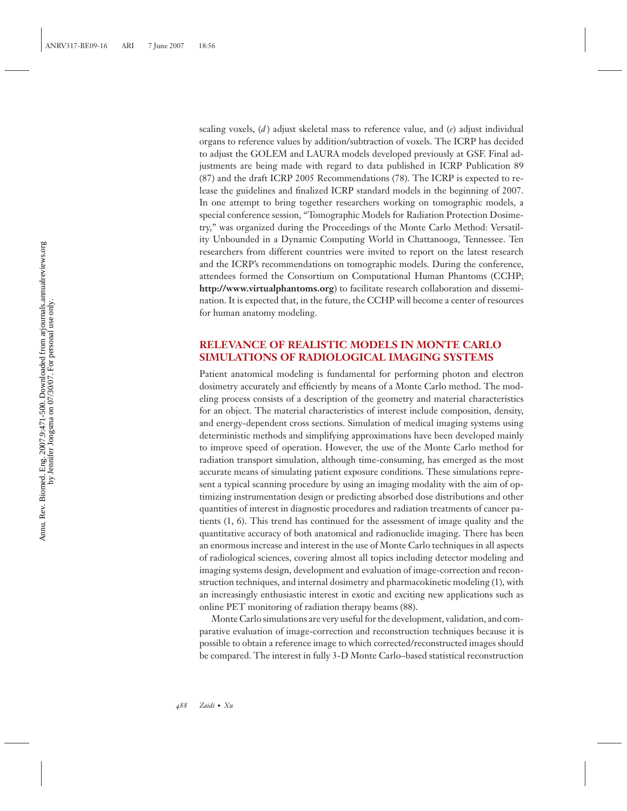scaling voxels, (*d*) adjust skeletal mass to reference value, and (*e*) adjust individual organs to reference values by addition/subtraction of voxels. The ICRP has decided to adjust the GOLEM and LAURA models developed previously at GSF. Final adjustments are being made with regard to data published in ICRP Publication 89 (87) and the draft ICRP 2005 Recommendations (78). The ICRP is expected to release the guidelines and finalized ICRP standard models in the beginning of 2007. In one attempt to bring together researchers working on tomographic models, a special conference session, "Tomographic Models for Radiation Protection Dosimetry," was organized during the Proceedings of the Monte Carlo Method: Versatility Unbounded in a Dynamic Computing World in Chattanooga, Tennessee. Ten researchers from different countries were invited to report on the latest research and the ICRP's recommendations on tomographic models. During the conference, attendees formed the Consortium on Computational Human Phantoms (CCHP; **http://www.virtualphantoms.org**) to facilitate research collaboration and dissemination. It is expected that, in the future, the CCHP will become a center of resources for human anatomy modeling.

# **RELEVANCE OF REALISTIC MODELS IN MONTE CARLO SIMULATIONS OF RADIOLOGICAL IMAGING SYSTEMS**

Patient anatomical modeling is fundamental for performing photon and electron dosimetry accurately and efficiently by means of a Monte Carlo method. The modeling process consists of a description of the geometry and material characteristics for an object. The material characteristics of interest include composition, density, and energy-dependent cross sections. Simulation of medical imaging systems using deterministic methods and simplifying approximations have been developed mainly to improve speed of operation. However, the use of the Monte Carlo method for radiation transport simulation, although time-consuming, has emerged as the most accurate means of simulating patient exposure conditions. These simulations represent a typical scanning procedure by using an imaging modality with the aim of optimizing instrumentation design or predicting absorbed dose distributions and other quantities of interest in diagnostic procedures and radiation treatments of cancer patients (1, 6). This trend has continued for the assessment of image quality and the quantitative accuracy of both anatomical and radionuclide imaging. There has been an enormous increase and interest in the use of Monte Carlo techniques in all aspects of radiological sciences, covering almost all topics including detector modeling and imaging systems design, development and evaluation of image-correction and reconstruction techniques, and internal dosimetry and pharmacokinetic modeling (1), with an increasingly enthusiastic interest in exotic and exciting new applications such as online PET monitoring of radiation therapy beams (88).

Monte Carlo simulations are very useful for the development, validation, and comparative evaluation of image-correction and reconstruction techniques because it is possible to obtain a reference image to which corrected/reconstructed images should be compared. The interest in fully 3-D Monte Carlo–based statistical reconstruction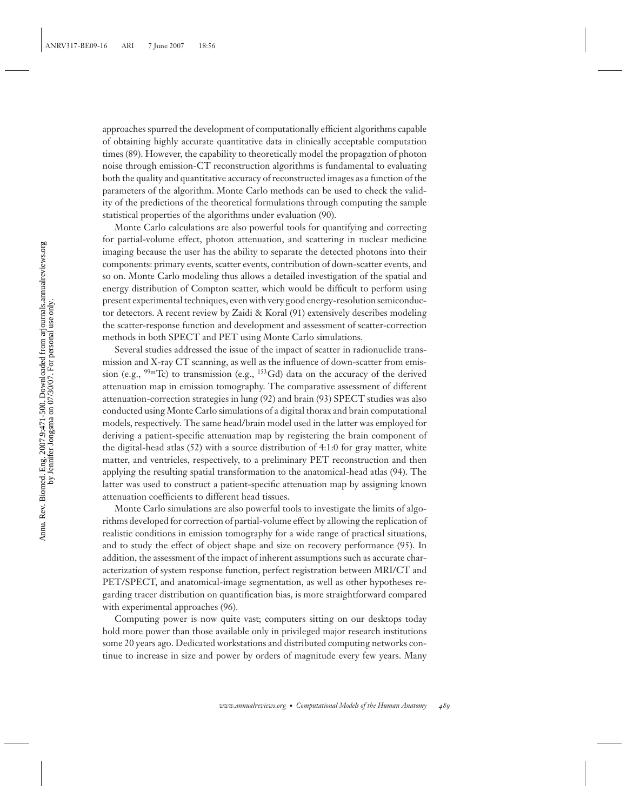approaches spurred the development of computationally efficient algorithms capable of obtaining highly accurate quantitative data in clinically acceptable computation times (89). However, the capability to theoretically model the propagation of photon noise through emission-CT reconstruction algorithms is fundamental to evaluating both the quality and quantitative accuracy of reconstructed images as a function of the parameters of the algorithm. Monte Carlo methods can be used to check the validity of the predictions of the theoretical formulations through computing the sample statistical properties of the algorithms under evaluation (90).

Monte Carlo calculations are also powerful tools for quantifying and correcting for partial-volume effect, photon attenuation, and scattering in nuclear medicine imaging because the user has the ability to separate the detected photons into their components: primary events, scatter events, contribution of down-scatter events, and so on. Monte Carlo modeling thus allows a detailed investigation of the spatial and energy distribution of Compton scatter, which would be difficult to perform using present experimental techniques, even with very good energy-resolution semiconductor detectors. A recent review by Zaidi & Koral (91) extensively describes modeling the scatter-response function and development and assessment of scatter-correction methods in both SPECT and PET using Monte Carlo simulations.

Several studies addressed the issue of the impact of scatter in radionuclide transmission and X-ray CT scanning, as well as the influence of down-scatter from emission (e.g.,  $^{99m}$ Tc) to transmission (e.g.,  $^{153}$ Gd) data on the accuracy of the derived attenuation map in emission tomography. The comparative assessment of different attenuation-correction strategies in lung (92) and brain (93) SPECT studies was also conducted using Monte Carlo simulations of a digital thorax and brain computational models, respectively. The same head/brain model used in the latter was employed for deriving a patient-specific attenuation map by registering the brain component of the digital-head atlas (52) with a source distribution of 4:1:0 for gray matter, white matter, and ventricles, respectively, to a preliminary PET reconstruction and then applying the resulting spatial transformation to the anatomical-head atlas (94). The latter was used to construct a patient-specific attenuation map by assigning known attenuation coefficients to different head tissues.

Monte Carlo simulations are also powerful tools to investigate the limits of algorithms developed for correction of partial-volume effect by allowing the replication of realistic conditions in emission tomography for a wide range of practical situations, and to study the effect of object shape and size on recovery performance (95). In addition, the assessment of the impact of inherent assumptions such as accurate characterization of system response function, perfect registration between MRI/CT and PET/SPECT, and anatomical-image segmentation, as well as other hypotheses regarding tracer distribution on quantification bias, is more straightforward compared with experimental approaches (96).

Computing power is now quite vast; computers sitting on our desktops today hold more power than those available only in privileged major research institutions some 20 years ago. Dedicated workstations and distributed computing networks continue to increase in size and power by orders of magnitude every few years. Many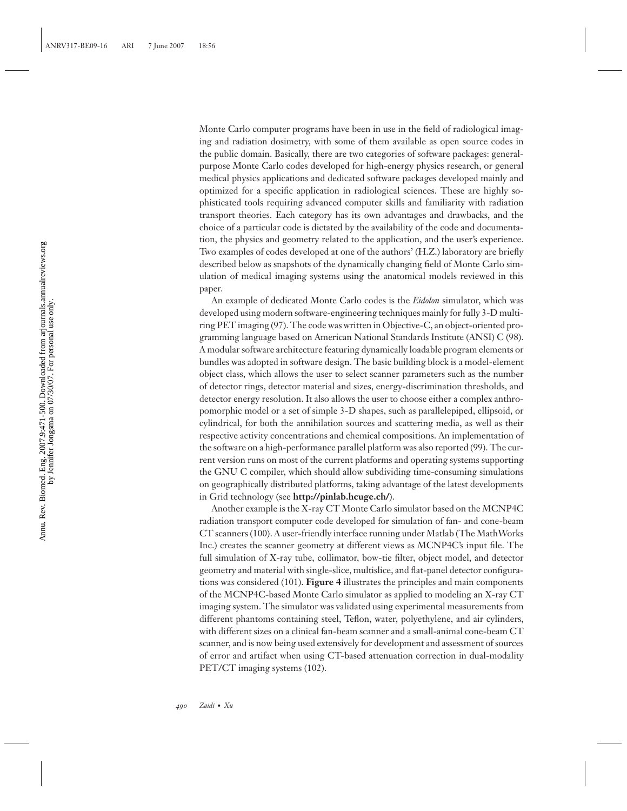Monte Carlo computer programs have been in use in the field of radiological imaging and radiation dosimetry, with some of them available as open source codes in the public domain. Basically, there are two categories of software packages: generalpurpose Monte Carlo codes developed for high-energy physics research, or general medical physics applications and dedicated software packages developed mainly and optimized for a specific application in radiological sciences. These are highly sophisticated tools requiring advanced computer skills and familiarity with radiation transport theories. Each category has its own advantages and drawbacks, and the choice of a particular code is dictated by the availability of the code and documentation, the physics and geometry related to the application, and the user's experience. Two examples of codes developed at one of the authors' (H.Z.) laboratory are briefly described below as snapshots of the dynamically changing field of Monte Carlo simulation of medical imaging systems using the anatomical models reviewed in this paper.

An example of dedicated Monte Carlo codes is the *Eidolon* simulator, which was developed using modern software-engineering techniques mainly for fully 3-D multiring PET imaging (97). The code was written in Objective-C, an object-oriented programming language based on American National Standards Institute (ANSI) C (98). A modular software architecture featuring dynamically loadable program elements or bundles was adopted in software design. The basic building block is a model-element object class, which allows the user to select scanner parameters such as the number of detector rings, detector material and sizes, energy-discrimination thresholds, and detector energy resolution. It also allows the user to choose either a complex anthropomorphic model or a set of simple 3-D shapes, such as parallelepiped, ellipsoid, or cylindrical, for both the annihilation sources and scattering media, as well as their respective activity concentrations and chemical compositions. An implementation of the software on a high-performance parallel platform was also reported (99). The current version runs on most of the current platforms and operating systems supporting the GNU C compiler, which should allow subdividing time-consuming simulations on geographically distributed platforms, taking advantage of the latest developments in Grid technology (see **http://pinlab.hcuge.ch/**).

Another example is the X-ray CT Monte Carlo simulator based on the MCNP4C radiation transport computer code developed for simulation of fan- and cone-beam CT scanners (100). A user-friendly interface running under Matlab (The MathWorks Inc.) creates the scanner geometry at different views as MCNP4C's input file. The full simulation of X-ray tube, collimator, bow-tie filter, object model, and detector geometry and material with single-slice, multislice, and flat-panel detector configurations was considered (101). **Figure 4** illustrates the principles and main components of the MCNP4C-based Monte Carlo simulator as applied to modeling an X-ray CT imaging system. The simulator was validated using experimental measurements from different phantoms containing steel, Teflon, water, polyethylene, and air cylinders, with different sizes on a clinical fan-beam scanner and a small-animal cone-beam CT scanner, and is now being used extensively for development and assessment of sources of error and artifact when using CT-based attenuation correction in dual-modality PET/CT imaging systems (102).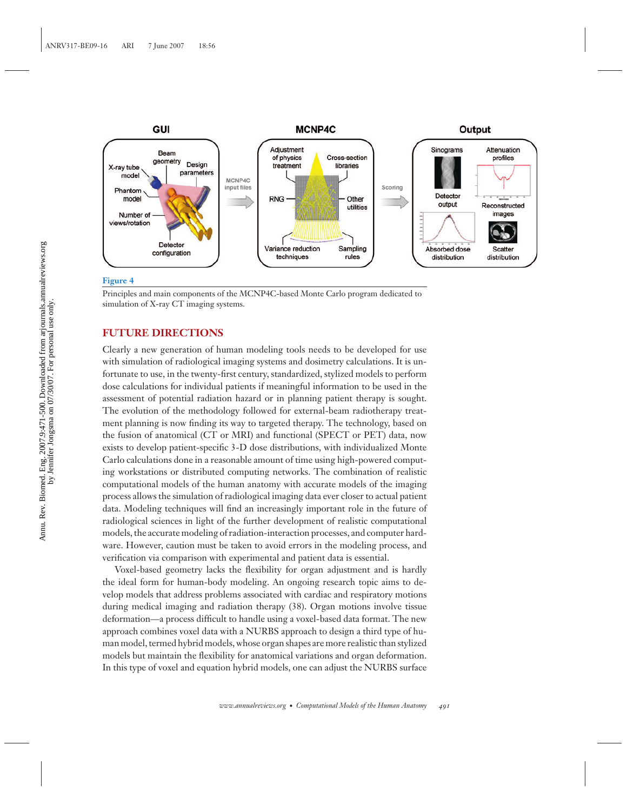

#### **Figure 4**

Principles and main components of the MCNP4C-based Monte Carlo program dedicated to simulation of X-ray CT imaging systems.

# **FUTURE DIRECTIONS**

Clearly a new generation of human modeling tools needs to be developed for use with simulation of radiological imaging systems and dosimetry calculations. It is unfortunate to use, in the twenty-first century, standardized, stylized models to perform dose calculations for individual patients if meaningful information to be used in the assessment of potential radiation hazard or in planning patient therapy is sought. The evolution of the methodology followed for external-beam radiotherapy treatment planning is now finding its way to targeted therapy. The technology, based on the fusion of anatomical (CT or MRI) and functional (SPECT or PET) data, now exists to develop patient-specific 3-D dose distributions, with individualized Monte Carlo calculations done in a reasonable amount of time using high-powered computing workstations or distributed computing networks. The combination of realistic computational models of the human anatomy with accurate models of the imaging process allows the simulation of radiological imaging data ever closer to actual patient data. Modeling techniques will find an increasingly important role in the future of radiological sciences in light of the further development of realistic computational models, the accurate modeling of radiation-interaction processes, and computer hardware. However, caution must be taken to avoid errors in the modeling process, and verification via comparison with experimental and patient data is essential.

Voxel-based geometry lacks the flexibility for organ adjustment and is hardly the ideal form for human-body modeling. An ongoing research topic aims to develop models that address problems associated with cardiac and respiratory motions during medical imaging and radiation therapy (38). Organ motions involve tissue deformation—a process difficult to handle using a voxel-based data format. The new approach combines voxel data with a NURBS approach to design a third type of human model, termed hybrid models, whose organ shapes are more realistic than stylized models but maintain the flexibility for anatomical variations and organ deformation. In this type of voxel and equation hybrid models, one can adjust the NURBS surface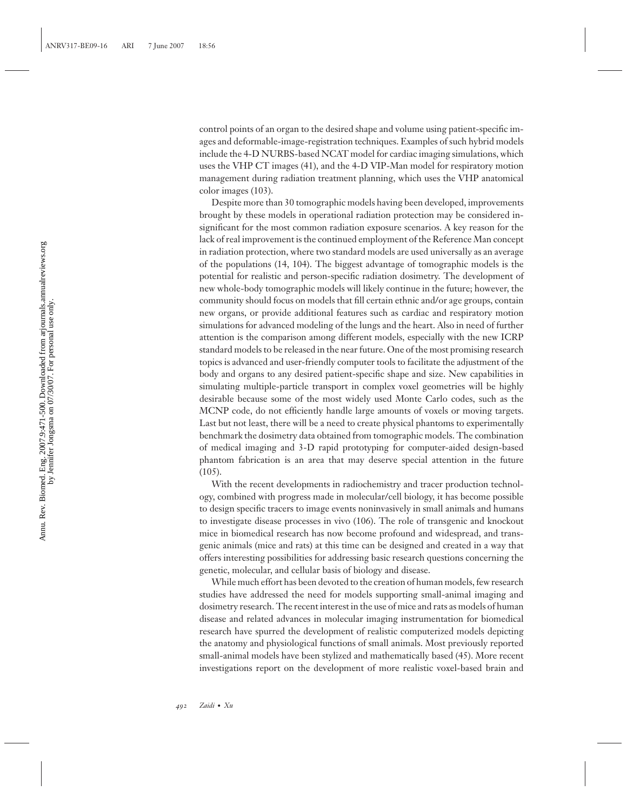control points of an organ to the desired shape and volume using patient-specific images and deformable-image-registration techniques. Examples of such hybrid models include the 4-D NURBS-based NCAT model for cardiac imaging simulations, which uses the VHP CT images (41), and the 4-D VIP-Man model for respiratory motion management during radiation treatment planning, which uses the VHP anatomical color images (103).

Despite more than 30 tomographic models having been developed, improvements brought by these models in operational radiation protection may be considered insignificant for the most common radiation exposure scenarios. A key reason for the lack of real improvement is the continued employment of the Reference Man concept in radiation protection, where two standard models are used universally as an average of the populations (14, 104). The biggest advantage of tomographic models is the potential for realistic and person-specific radiation dosimetry. The development of new whole-body tomographic models will likely continue in the future; however, the community should focus on models that fill certain ethnic and/or age groups, contain new organs, or provide additional features such as cardiac and respiratory motion simulations for advanced modeling of the lungs and the heart. Also in need of further attention is the comparison among different models, especially with the new ICRP standard models to be released in the near future. One of the most promising research topics is advanced and user-friendly computer tools to facilitate the adjustment of the body and organs to any desired patient-specific shape and size. New capabilities in simulating multiple-particle transport in complex voxel geometries will be highly desirable because some of the most widely used Monte Carlo codes, such as the MCNP code, do not efficiently handle large amounts of voxels or moving targets. Last but not least, there will be a need to create physical phantoms to experimentally benchmark the dosimetry data obtained from tomographic models. The combination of medical imaging and 3-D rapid prototyping for computer-aided design-based phantom fabrication is an area that may deserve special attention in the future (105).

With the recent developments in radiochemistry and tracer production technology, combined with progress made in molecular/cell biology, it has become possible to design specific tracers to image events noninvasively in small animals and humans to investigate disease processes in vivo (106). The role of transgenic and knockout mice in biomedical research has now become profound and widespread, and transgenic animals (mice and rats) at this time can be designed and created in a way that offers interesting possibilities for addressing basic research questions concerning the genetic, molecular, and cellular basis of biology and disease.

While much effort has been devoted to the creation of human models, few research studies have addressed the need for models supporting small-animal imaging and dosimetry research. The recent interest in the use of mice and rats as models of human disease and related advances in molecular imaging instrumentation for biomedical research have spurred the development of realistic computerized models depicting the anatomy and physiological functions of small animals. Most previously reported small-animal models have been stylized and mathematically based (45). More recent investigations report on the development of more realistic voxel-based brain and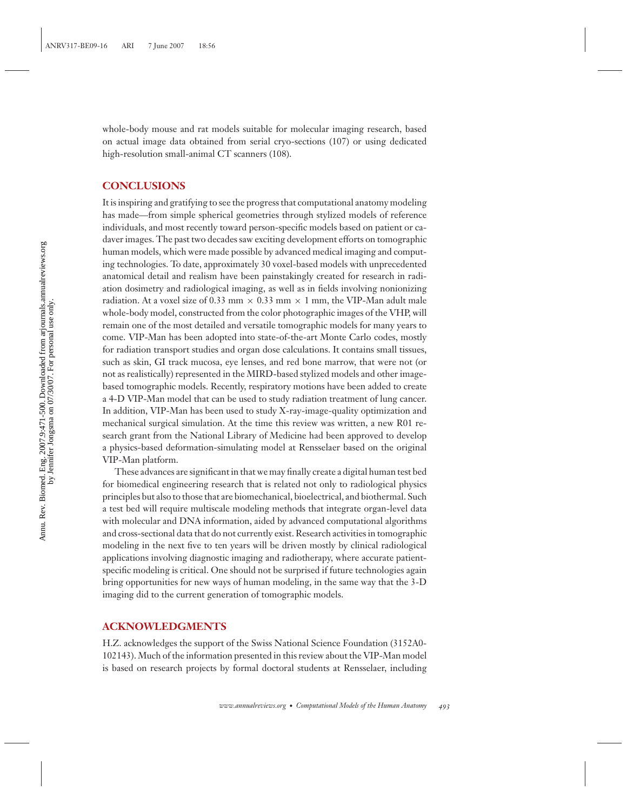whole-body mouse and rat models suitable for molecular imaging research, based on actual image data obtained from serial cryo-sections (107) or using dedicated high-resolution small-animal CT scanners (108).

### **CONCLUSIONS**

It is inspiring and gratifying to see the progress that computational anatomy modeling has made—from simple spherical geometries through stylized models of reference individuals, and most recently toward person-specific models based on patient or cadaver images. The past two decades saw exciting development efforts on tomographic human models, which were made possible by advanced medical imaging and computing technologies. To date, approximately 30 voxel-based models with unprecedented anatomical detail and realism have been painstakingly created for research in radiation dosimetry and radiological imaging, as well as in fields involving nonionizing radiation. At a voxel size of 0.33 mm  $\times$  0.33 mm  $\times$  1 mm, the VIP-Man adult male whole-body model, constructed from the color photographic images of the VHP, will remain one of the most detailed and versatile tomographic models for many years to come. VIP-Man has been adopted into state-of-the-art Monte Carlo codes, mostly for radiation transport studies and organ dose calculations. It contains small tissues, such as skin, GI track mucosa, eye lenses, and red bone marrow, that were not (or not as realistically) represented in the MIRD-based stylized models and other imagebased tomographic models. Recently, respiratory motions have been added to create a 4-D VIP-Man model that can be used to study radiation treatment of lung cancer. In addition, VIP-Man has been used to study X-ray-image-quality optimization and mechanical surgical simulation. At the time this review was written, a new R01 research grant from the National Library of Medicine had been approved to develop a physics-based deformation-simulating model at Rensselaer based on the original VIP-Man platform.

These advances are significant in that we may finally create a digital human test bed for biomedical engineering research that is related not only to radiological physics principles but also to those that are biomechanical, bioelectrical, and biothermal. Such a test bed will require multiscale modeling methods that integrate organ-level data with molecular and DNA information, aided by advanced computational algorithms and cross-sectional data that do not currently exist. Research activities in tomographic modeling in the next five to ten years will be driven mostly by clinical radiological applications involving diagnostic imaging and radiotherapy, where accurate patientspecific modeling is critical. One should not be surprised if future technologies again bring opportunities for new ways of human modeling, in the same way that the 3-D imaging did to the current generation of tomographic models.

## **ACKNOWLEDGMENTS**

H.Z. acknowledges the support of the Swiss National Science Foundation (3152A0- 102143). Much of the information presented in this review about the VIP-Man model is based on research projects by formal doctoral students at Rensselaer, including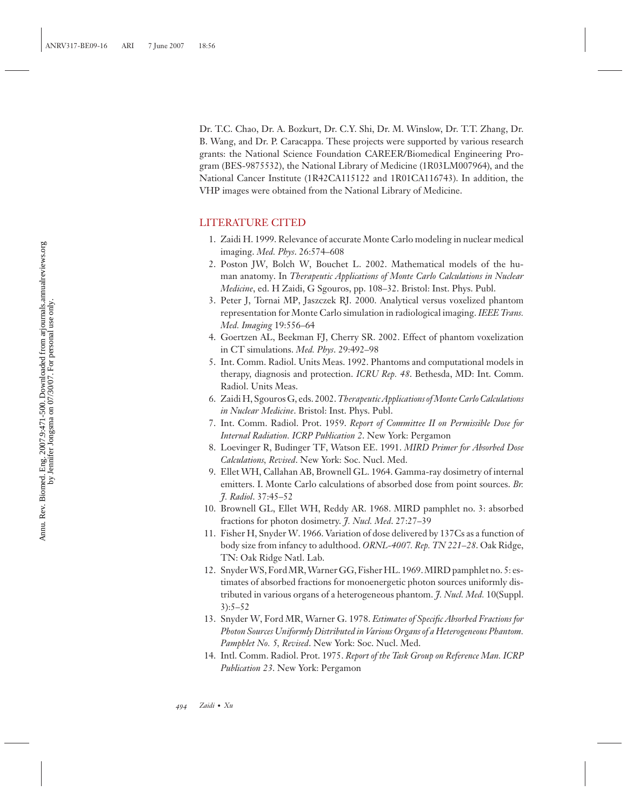Dr. T.C. Chao, Dr. A. Bozkurt, Dr. C.Y. Shi, Dr. M. Winslow, Dr. T.T. Zhang, Dr. B. Wang, and Dr. P. Caracappa. These projects were supported by various research grants: the National Science Foundation CAREER/Biomedical Engineering Program (BES-9875532), the National Library of Medicine (1R03LM007964), and the National Cancer Institute (1R42CA115122 and 1R01CA116743). In addition, the VHP images were obtained from the National Library of Medicine.

# LITERATURE CITED

- 1. Zaidi H. 1999. Relevance of accurate Monte Carlo modeling in nuclear medical imaging. *Med. Phys*. 26:574–608
- 2. Poston JW, Bolch W, Bouchet L. 2002. Mathematical models of the human anatomy. In *Therapeutic Applications of Monte Carlo Calculations in Nuclear Medicine*, ed. H Zaidi, G Sgouros, pp. 108–32. Bristol: Inst. Phys. Publ.
- 3. Peter J, Tornai MP, Jaszczek RJ. 2000. Analytical versus voxelized phantom representation for Monte Carlo simulation in radiological imaging. *IEEE Trans. Med. Imaging* 19:556–64
- 4. Goertzen AL, Beekman FJ, Cherry SR. 2002. Effect of phantom voxelization in CT simulations. *Med. Phys*. 29:492–98
- 5. Int. Comm. Radiol. Units Meas. 1992. Phantoms and computational models in therapy, diagnosis and protection. *ICRU Rep. 48*. Bethesda, MD: Int. Comm. Radiol. Units Meas.
- 6. Zaidi H, Sgouros G, eds. 2002.*Therapeutic Applications of Monte Carlo Calculations in Nuclear Medicine*. Bristol: Inst. Phys. Publ.
- 7. Int. Comm. Radiol. Prot. 1959. *Report of Committee II on Permissible Dose for Internal Radiation. ICRP Publication 2*. New York: Pergamon
- 8. Loevinger R, Budinger TF, Watson EE. 1991. *MIRD Primer for Absorbed Dose Calculations, Revised*. New York: Soc. Nucl. Med.
- 9. Ellet WH, Callahan AB, Brownell GL. 1964. Gamma-ray dosimetry of internal emitters. I. Monte Carlo calculations of absorbed dose from point sources. *Br. J. Radiol*. 37:45–52
- 10. Brownell GL, Ellet WH, Reddy AR. 1968. MIRD pamphlet no. 3: absorbed fractions for photon dosimetry. *J. Nucl. Med*. 27:27–39
- 11. Fisher H, Snyder W. 1966. Variation of dose delivered by 137Cs as a function of body size from infancy to adulthood. *ORNL-4007. Rep. TN 221–28*. Oak Ridge, TN: Oak Ridge Natl. Lab.
- 12. Snyder WS, Ford MR, Warner GG, Fisher HL. 1969. MIRD pamphlet no. 5: estimates of absorbed fractions for monoenergetic photon sources uniformly distributed in various organs of a heterogeneous phantom. *J. Nucl. Med.* 10(Suppl. 3):5–52
- 13. Snyder W, Ford MR, Warner G. 1978. *Estimates of Specific Absorbed Fractions for Photon Sources Uniformly Distributed in Various Organs of a Heterogeneous Phantom. Pamphlet No. 5, Revised*. New York: Soc. Nucl. Med.
- 14. Intl. Comm. Radiol. Prot. 1975. *Report of the Task Group on Reference Man. ICRP Publication 23*. New York: Pergamon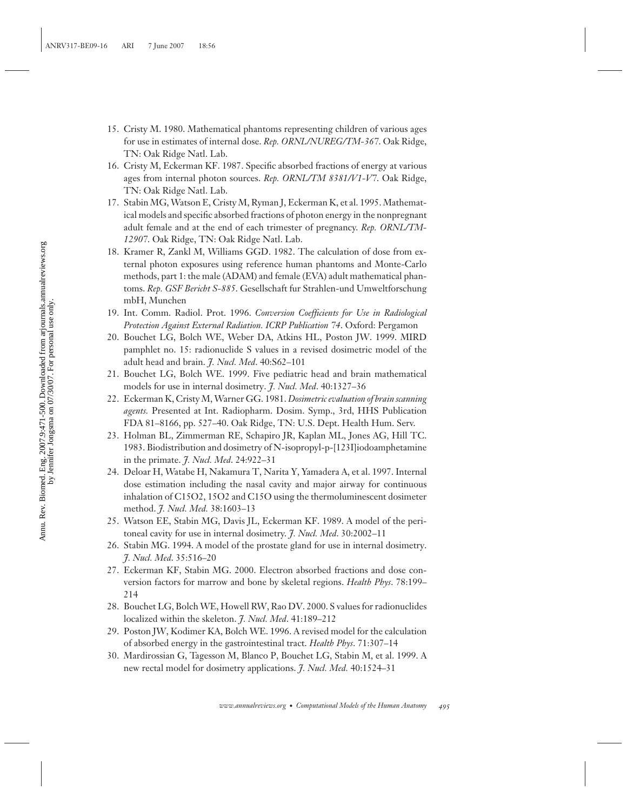- 15. Cristy M. 1980. Mathematical phantoms representing children of various ages for use in estimates of internal dose. *Rep. ORNL/NUREG/TM-367*. Oak Ridge, TN: Oak Ridge Natl. Lab.
- 16. Cristy M, Eckerman KF. 1987. Specific absorbed fractions of energy at various ages from internal photon sources. *Rep. ORNL/TM 8381/V1-V7*. Oak Ridge, TN: Oak Ridge Natl. Lab.
- 17. Stabin MG, Watson E, Cristy M, Ryman J, Eckerman K, et al. 1995. Mathematical models and specific absorbed fractions of photon energy in the nonpregnant adult female and at the end of each trimester of pregnancy. *Rep. ORNL/TM-12907*. Oak Ridge, TN: Oak Ridge Natl. Lab.
- 18. Kramer R, Zankl M, Williams GGD. 1982. The calculation of dose from external photon exposures using reference human phantoms and Monte-Carlo methods, part 1: the male (ADAM) and female (EVA) adult mathematical phantoms. *Rep. GSF Bericht S-885*. Gesellschaft fur Strahlen-und Umweltforschung mbH, Munchen
- 19. Int. Comm. Radiol. Prot. 1996. *Conversion Coefficients for Use in Radiological Protection Against External Radiation. ICRP Publication 74*. Oxford: Pergamon
- 20. Bouchet LG, Bolch WE, Weber DA, Atkins HL, Poston JW. 1999. MIRD pamphlet no. 15: radionuclide S values in a revised dosimetric model of the adult head and brain. *J. Nucl. Med*. 40:S62–101
- 21. Bouchet LG, Bolch WE. 1999. Five pediatric head and brain mathematical models for use in internal dosimetry. *J. Nucl. Med*. 40:1327–36
- 22. Eckerman K, Cristy M, Warner GG. 1981. *Dosimetric evaluation of brain scanning agents.* Presented at Int. Radiopharm. Dosim. Symp., 3rd, HHS Publication FDA 81–8166, pp. 527–40. Oak Ridge, TN: U.S. Dept. Health Hum. Serv.
- 23. Holman BL, Zimmerman RE, Schapiro JR, Kaplan ML, Jones AG, Hill TC. 1983. Biodistribution and dosimetry of N-isopropyl-p-[123I]iodoamphetamine in the primate. *J. Nucl. Med*. 24:922–31
- 24. Deloar H, Watabe H, Nakamura T, Narita Y, Yamadera A, et al. 1997. Internal dose estimation including the nasal cavity and major airway for continuous inhalation of C15O2, 15O2 and C15O using the thermoluminescent dosimeter method. *J. Nucl. Med.* 38:1603–13
- 25. Watson EE, Stabin MG, Davis JL, Eckerman KF. 1989. A model of the peritoneal cavity for use in internal dosimetry. *J. Nucl. Med*. 30:2002–11
- 26. Stabin MG. 1994. A model of the prostate gland for use in internal dosimetry. *J. Nucl. Med*. 35:516–20
- 27. Eckerman KF, Stabin MG. 2000. Electron absorbed fractions and dose conversion factors for marrow and bone by skeletal regions. *Health Phys*. 78:199– 214
- 28. Bouchet LG, Bolch WE, Howell RW, Rao DV. 2000. S values for radionuclides localized within the skeleton. *J. Nucl. Med*. 41:189–212
- 29. Poston JW, Kodimer KA, Bolch WE. 1996. A revised model for the calculation of absorbed energy in the gastrointestinal tract. *Health Phys*. 71:307–14
- 30. Mardirossian G, Tagesson M, Blanco P, Bouchet LG, Stabin M, et al. 1999. A new rectal model for dosimetry applications. *J. Nucl. Med.* 40:1524–31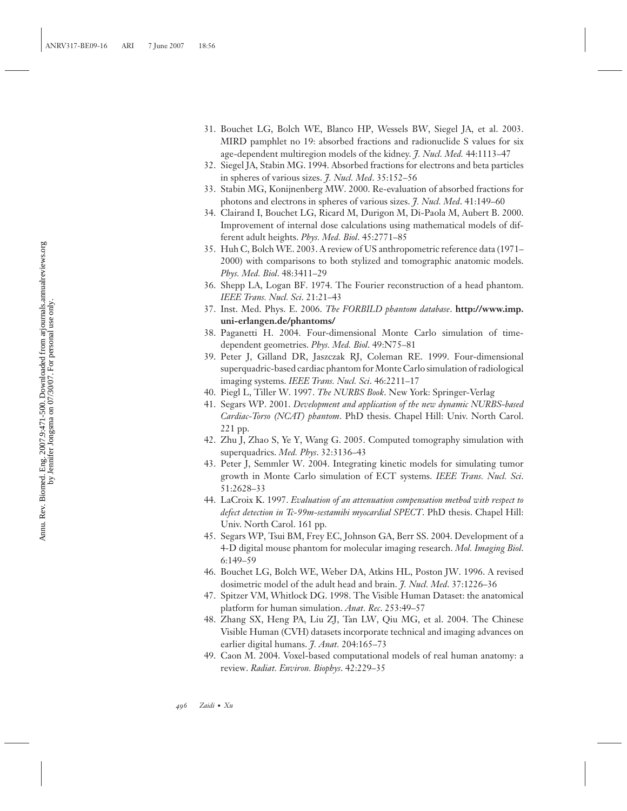- 31. Bouchet LG, Bolch WE, Blanco HP, Wessels BW, Siegel JA, et al. 2003. MIRD pamphlet no 19: absorbed fractions and radionuclide S values for six age-dependent multiregion models of the kidney. *J. Nucl. Med.* 44:1113–47
- 32. Siegel JA, Stabin MG. 1994. Absorbed fractions for electrons and beta particles in spheres of various sizes. *J. Nucl. Med*. 35:152–56
- 33. Stabin MG, Konijnenberg MW. 2000. Re-evaluation of absorbed fractions for photons and electrons in spheres of various sizes. *J. Nucl. Med*. 41:149–60
- 34. Clairand I, Bouchet LG, Ricard M, Durigon M, Di-Paola M, Aubert B. 2000. Improvement of internal dose calculations using mathematical models of different adult heights. *Phys. Med. Biol*. 45:2771–85
- 35. Huh C, Bolch WE. 2003. A review of US anthropometric reference data (1971– 2000) with comparisons to both stylized and tomographic anatomic models. *Phys. Med. Biol*. 48:3411–29
- 36. Shepp LA, Logan BF. 1974. The Fourier reconstruction of a head phantom. *IEEE Trans. Nucl. Sci*. 21:21–43
- 37. Inst. Med. Phys. E. 2006. *The FORBILD phantom database*. **http://www.imp. uni-erlangen.de/phantoms/**
- 38. Paganetti H. 2004. Four-dimensional Monte Carlo simulation of timedependent geometries. *Phys. Med. Biol*. 49:N75–81
- 39. Peter J, Gilland DR, Jaszczak RJ, Coleman RE. 1999. Four-dimensional superquadric-based cardiac phantom for Monte Carlo simulation of radiological imaging systems. *IEEE Trans. Nucl. Sci*. 46:2211–17
- 40. Piegl L, Tiller W. 1997. *The NURBS Book*. New York: Springer-Verlag
- 41. Segars WP. 2001. *Development and application of the new dynamic NURBS-based Cardiac-Torso (NCAT) phantom*. PhD thesis. Chapel Hill: Univ. North Carol. 221 pp.
- 42. Zhu J, Zhao S, Ye Y, Wang G. 2005. Computed tomography simulation with superquadrics. *Med. Phys*. 32:3136–43
- 43. Peter J, Semmler W. 2004. Integrating kinetic models for simulating tumor growth in Monte Carlo simulation of ECT systems. *IEEE Trans. Nucl. Sci*. 51:2628–33
- 44. LaCroix K. 1997. *Evaluation of an attenuation compensation method with respect to defect detection in Tc-99m-sestamibi myocardial SPECT*. PhD thesis. Chapel Hill: Univ. North Carol. 161 pp.
- 45. Segars WP, Tsui BM, Frey EC, Johnson GA, Berr SS. 2004. Development of a 4-D digital mouse phantom for molecular imaging research. *Mol. Imaging Biol*. 6:149–59
- 46. Bouchet LG, Bolch WE, Weber DA, Atkins HL, Poston JW. 1996. A revised dosimetric model of the adult head and brain. *J. Nucl. Med*. 37:1226–36
- 47. Spitzer VM, Whitlock DG. 1998. The Visible Human Dataset: the anatomical platform for human simulation. *Anat. Rec*. 253:49–57
- 48. Zhang SX, Heng PA, Liu ZJ, Tan LW, Qiu MG, et al. 2004. The Chinese Visible Human (CVH) datasets incorporate technical and imaging advances on earlier digital humans. *J. Anat.* 204:165–73
- 49. Caon M. 2004. Voxel-based computational models of real human anatomy: a review. *Radiat. Environ. Biophys*. 42:229–35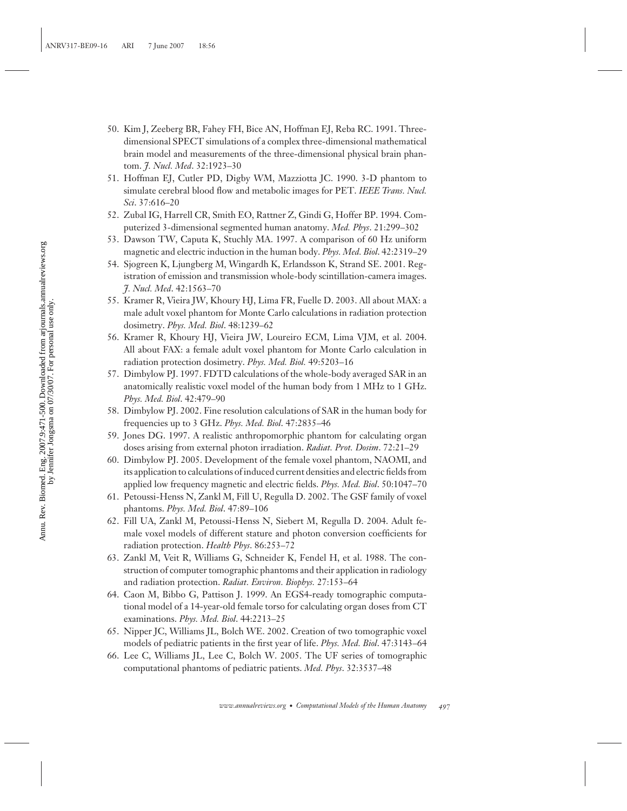- 50. Kim J, Zeeberg BR, Fahey FH, Bice AN, Hoffman EJ, Reba RC. 1991. Threedimensional SPECT simulations of a complex three-dimensional mathematical brain model and measurements of the three-dimensional physical brain phantom. *J. Nucl. Med*. 32:1923–30
- 51. Hoffman EJ, Cutler PD, Digby WM, Mazziotta JC. 1990. 3-D phantom to simulate cerebral blood flow and metabolic images for PET. *IEEE Trans. Nucl. Sci*. 37:616–20
- 52. Zubal IG, Harrell CR, Smith EO, Rattner Z, Gindi G, Hoffer BP. 1994. Computerized 3-dimensional segmented human anatomy. *Med. Phys*. 21:299–302
- 53. Dawson TW, Caputa K, Stuchly MA. 1997. A comparison of 60 Hz uniform magnetic and electric induction in the human body. *Phys. Med. Biol*. 42:2319–29
- 54. Sjogreen K, Ljungberg M, Wingardh K, Erlandsson K, Strand SE. 2001. Registration of emission and transmission whole-body scintillation-camera images. *J. Nucl. Med*. 42:1563–70
- 55. Kramer R, Vieira JW, Khoury HJ, Lima FR, Fuelle D. 2003. All about MAX: a male adult voxel phantom for Monte Carlo calculations in radiation protection dosimetry. *Phys. Med. Biol*. 48:1239–62
- 56. Kramer R, Khoury HJ, Vieira JW, Loureiro ECM, Lima VJM, et al. 2004. All about FAX: a female adult voxel phantom for Monte Carlo calculation in radiation protection dosimetry. *Phys. Med. Biol.* 49:5203–16
- 57. Dimbylow PJ. 1997. FDTD calculations of the whole-body averaged SAR in an anatomically realistic voxel model of the human body from 1 MHz to 1 GHz. *Phys. Med. Biol*. 42:479–90
- 58. Dimbylow PJ. 2002. Fine resolution calculations of SAR in the human body for frequencies up to 3 GHz. *Phys. Med. Biol*. 47:2835–46
- 59. Jones DG. 1997. A realistic anthropomorphic phantom for calculating organ doses arising from external photon irradiation. *Radiat. Prot. Dosim*. 72:21–29
- 60. Dimbylow PJ. 2005. Development of the female voxel phantom, NAOMI, and its application to calculations of induced current densities and electric fields from applied low frequency magnetic and electric fields. *Phys. Med. Biol*. 50:1047–70
- 61. Petoussi-Henss N, Zankl M, Fill U, Regulla D. 2002. The GSF family of voxel phantoms. *Phys. Med. Biol*. 47:89–106
- 62. Fill UA, Zankl M, Petoussi-Henss N, Siebert M, Regulla D. 2004. Adult female voxel models of different stature and photon conversion coefficients for radiation protection. *Health Phys*. 86:253–72
- 63. Zankl M, Veit R, Williams G, Schneider K, Fendel H, et al. 1988. The construction of computer tomographic phantoms and their application in radiology and radiation protection. *Radiat. Environ. Biophys.* 27:153–64
- 64. Caon M, Bibbo G, Pattison J. 1999. An EGS4-ready tomographic computational model of a 14-year-old female torso for calculating organ doses from CT examinations. *Phys. Med. Biol*. 44:2213–25
- 65. Nipper JC, Williams JL, Bolch WE. 2002. Creation of two tomographic voxel models of pediatric patients in the first year of life. *Phys. Med. Biol*. 47:3143–64
- 66. Lee C, Williams JL, Lee C, Bolch W. 2005. The UF series of tomographic computational phantoms of pediatric patients. *Med. Phys*. 32:3537–48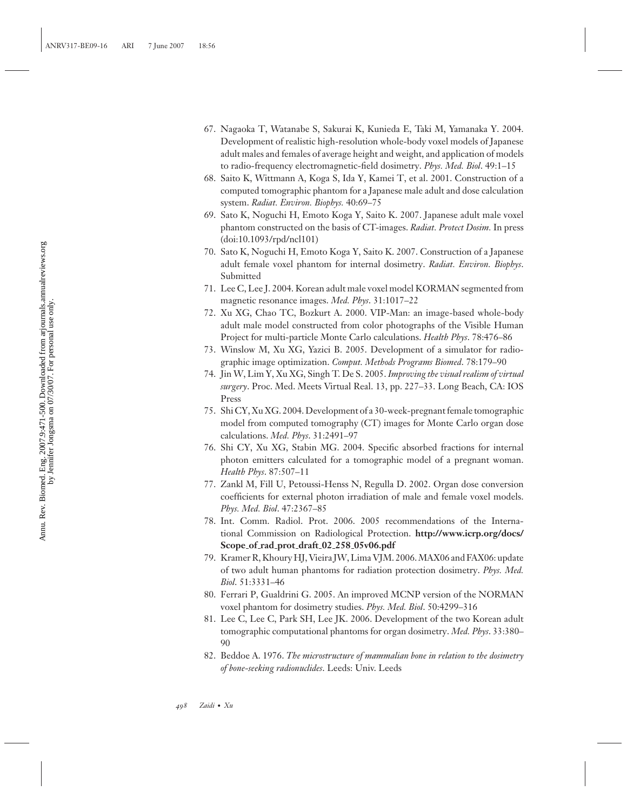- 67. Nagaoka T, Watanabe S, Sakurai K, Kunieda E, Taki M, Yamanaka Y. 2004. Development of realistic high-resolution whole-body voxel models of Japanese adult males and females of average height and weight, and application of models to radio-frequency electromagnetic-field dosimetry. *Phys. Med. Biol*. 49:1–15
- 68. Saito K, Wittmann A, Koga S, Ida Y, Kamei T, et al. 2001. Construction of a computed tomographic phantom for a Japanese male adult and dose calculation system. *Radiat. Environ. Biophys.* 40:69–75
- 69. Sato K, Noguchi H, Emoto Koga Y, Saito K. 2007. Japanese adult male voxel phantom constructed on the basis of CT-images. *Radiat. Protect Dosim.* In press (doi:10.1093/rpd/ncl101)
- 70. Sato K, Noguchi H, Emoto Koga Y, Saito K. 2007. Construction of a Japanese adult female voxel phantom for internal dosimetry. *Radiat. Environ. Biophys*. Submitted
- 71. Lee C, Lee J. 2004. Korean adult male voxel model KORMAN segmented from magnetic resonance images. *Med. Phys*. 31:1017–22
- 72. Xu XG, Chao TC, Bozkurt A. 2000. VIP-Man: an image-based whole-body adult male model constructed from color photographs of the Visible Human Project for multi-particle Monte Carlo calculations. *Health Phys*. 78:476–86
- 73. Winslow M, Xu XG, Yazici B. 2005. Development of a simulator for radiographic image optimization. *Comput. Methods Programs Biomed*. 78:179–90
- 74. Jin W, Lim Y, Xu XG, Singh T. De S. 2005. *Improving the visual realism of virtual surgery*. Proc. Med. Meets Virtual Real. 13, pp. 227–33. Long Beach, CA: IOS Press
- 75. Shi CY, Xu XG. 2004. Development of a 30-week-pregnant female tomographic model from computed tomography (CT) images for Monte Carlo organ dose calculations. *Med. Phys*. 31:2491–97
- 76. Shi CY, Xu XG, Stabin MG. 2004. Specific absorbed fractions for internal photon emitters calculated for a tomographic model of a pregnant woman. *Health Phys*. 87:507–11
- 77. Zankl M, Fill U, Petoussi-Henss N, Regulla D. 2002. Organ dose conversion coefficients for external photon irradiation of male and female voxel models. *Phys. Med. Biol*. 47:2367–85
- 78. Int. Comm. Radiol. Prot. 2006. 2005 recommendations of the International Commission on Radiological Protection. **http://www.icrp.org/docs/ Scope of rad prot draft 02 258 05v06.pdf**
- 79. Kramer R, Khoury HJ, Vieira JW, Lima VJM. 2006. MAX06 and FAX06: update of two adult human phantoms for radiation protection dosimetry. *Phys. Med. Biol*. 51:3331–46
- 80. Ferrari P, Gualdrini G. 2005. An improved MCNP version of the NORMAN voxel phantom for dosimetry studies. *Phys. Med. Biol*. 50:4299–316
- 81. Lee C, Lee C, Park SH, Lee JK. 2006. Development of the two Korean adult tomographic computational phantoms for organ dosimetry. *Med. Phys*. 33:380– 90
- 82. Beddoe A. 1976. *The microstructure of mammalian bone in relation to the dosimetry of bone-seeking radionuclides*. Leeds: Univ. Leeds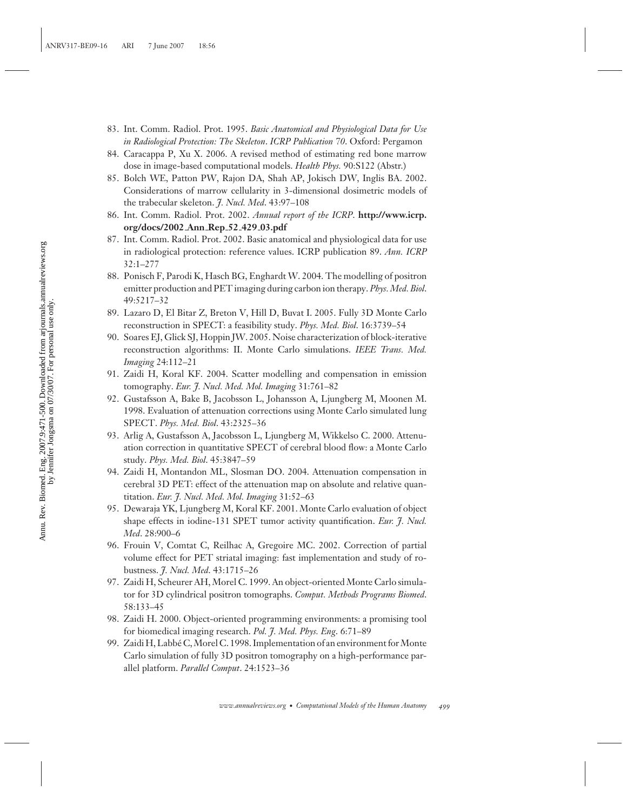- 83. Int. Comm. Radiol. Prot. 1995. *Basic Anatomical and Physiological Data for Use in Radiological Protection: The Skeleton*. *ICRP Publication 70*. Oxford: Pergamon
- 84. Caracappa P, Xu X. 2006. A revised method of estimating red bone marrow dose in image-based computational models. *Health Phys.* 90:S122 (Abstr.)
- 85. Bolch WE, Patton PW, Rajon DA, Shah AP, Jokisch DW, Inglis BA. 2002. Considerations of marrow cellularity in 3-dimensional dosimetric models of the trabecular skeleton. *J. Nucl. Med*. 43:97–108
- 86. Int. Comm. Radiol. Prot. 2002. *Annual report of the ICRP*. **http://www.icrp. org/docs/2002 Ann Rep 52 429 03.pdf**
- 87. Int. Comm. Radiol. Prot. 2002. Basic anatomical and physiological data for use in radiological protection: reference values. ICRP publication 89. *Ann. ICRP* 32:1–277
- 88. Ponisch F, Parodi K, Hasch BG, Enghardt W. 2004. The modelling of positron emitter production and PET imaging during carbon ion therapy. *Phys. Med. Biol*. 49:5217–32
- 89. Lazaro D, El Bitar Z, Breton V, Hill D, Buvat I. 2005. Fully 3D Monte Carlo reconstruction in SPECT: a feasibility study. *Phys. Med. Biol*. 16:3739–54
- 90. Soares EJ, Glick SJ, Hoppin JW. 2005. Noise characterization of block-iterative reconstruction algorithms: II. Monte Carlo simulations. *IEEE Trans. Med. Imaging* 24:112–21
- 91. Zaidi H, Koral KF. 2004. Scatter modelling and compensation in emission tomography. *Eur. J. Nucl. Med. Mol. Imaging* 31:761–82
- 92. Gustafsson A, Bake B, Jacobsson L, Johansson A, Ljungberg M, Moonen M. 1998. Evaluation of attenuation corrections using Monte Carlo simulated lung SPECT. *Phys. Med. Biol*. 43:2325–36
- 93. Arlig A, Gustafsson A, Jacobsson L, Ljungberg M, Wikkelso C. 2000. Attenuation correction in quantitative SPECT of cerebral blood flow: a Monte Carlo study. *Phys. Med. Biol*. 45:3847–59
- 94. Zaidi H, Montandon ML, Slosman DO. 2004. Attenuation compensation in cerebral 3D PET: effect of the attenuation map on absolute and relative quantitation. *Eur. J. Nucl. Med. Mol. Imaging* 31:52–63
- 95. Dewaraja YK, Ljungberg M, Koral KF. 2001. Monte Carlo evaluation of object shape effects in iodine-131 SPET tumor activity quantification. *Eur. J. Nucl. Med*. 28:900–6
- 96. Frouin V, Comtat C, Reilhac A, Gregoire MC. 2002. Correction of partial volume effect for PET striatal imaging: fast implementation and study of robustness. *J. Nucl. Med*. 43:1715–26
- 97. Zaidi H, Scheurer AH, Morel C. 1999. An object-oriented Monte Carlo simulator for 3D cylindrical positron tomographs. *Comput. Methods Programs Biomed*. 58:133–45
- 98. Zaidi H. 2000. Object-oriented programming environments: a promising tool for biomedical imaging research. *Pol. J. Med. Phys. Eng*. 6:71–89
- 99. Zaidi H, Labbe C, Morel C. 1998. Implementation of an environment for Monte ´ Carlo simulation of fully 3D positron tomography on a high-performance parallel platform. *Parallel Comput*. 24:1523–36